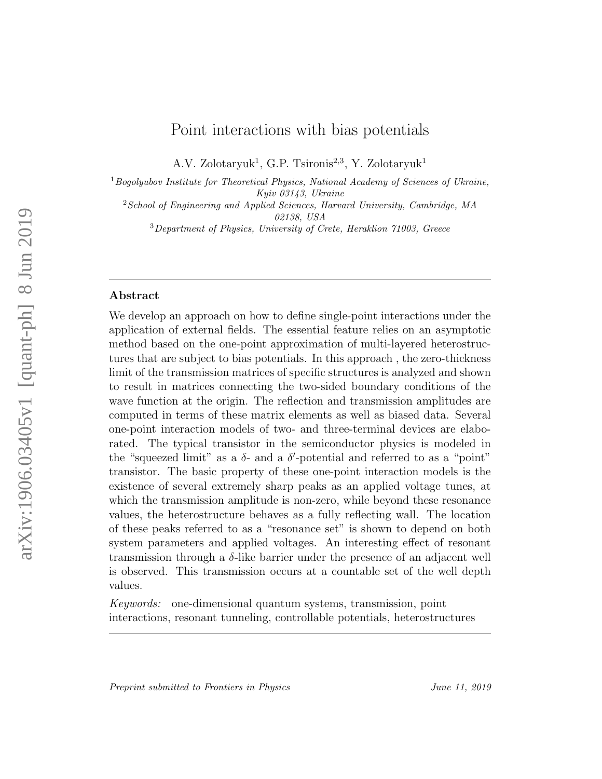# Point interactions with bias potentials

A.V. Zolotaryuk<sup>1</sup>, G.P. Tsironis<sup>2,3</sup>, Y. Zolotaryuk<sup>1</sup>

 $1$ Bogolyubov Institute for Theoretical Physics, National Academy of Sciences of Ukraine, Kyiv 03143, Ukraine

<sup>2</sup>School of Engineering and Applied Sciences, Harvard University, Cambridge, MA 02138, USA

<sup>3</sup>Department of Physics, University of Crete, Heraklion 71003, Greece

### Abstract

We develop an approach on how to define single-point interactions under the application of external fields. The essential feature relies on an asymptotic method based on the one-point approximation of multi-layered heterostructures that are subject to bias potentials. In this approach , the zero-thickness limit of the transmission matrices of specific structures is analyzed and shown to result in matrices connecting the two-sided boundary conditions of the wave function at the origin. The reflection and transmission amplitudes are computed in terms of these matrix elements as well as biased data. Several one-point interaction models of two- and three-terminal devices are elaborated. The typical transistor in the semiconductor physics is modeled in the "squeezed limit" as a  $\delta$ - and a  $\delta'$ -potential and referred to as a "point" transistor. The basic property of these one-point interaction models is the existence of several extremely sharp peaks as an applied voltage tunes, at which the transmission amplitude is non-zero, while beyond these resonance values, the heterostructure behaves as a fully reflecting wall. The location of these peaks referred to as a "resonance set" is shown to depend on both system parameters and applied voltages. An interesting effect of resonant transmission through a δ-like barrier under the presence of an adjacent well is observed. This transmission occurs at a countable set of the well depth values.

Keywords: one-dimensional quantum systems, transmission, point interactions, resonant tunneling, controllable potentials, heterostructures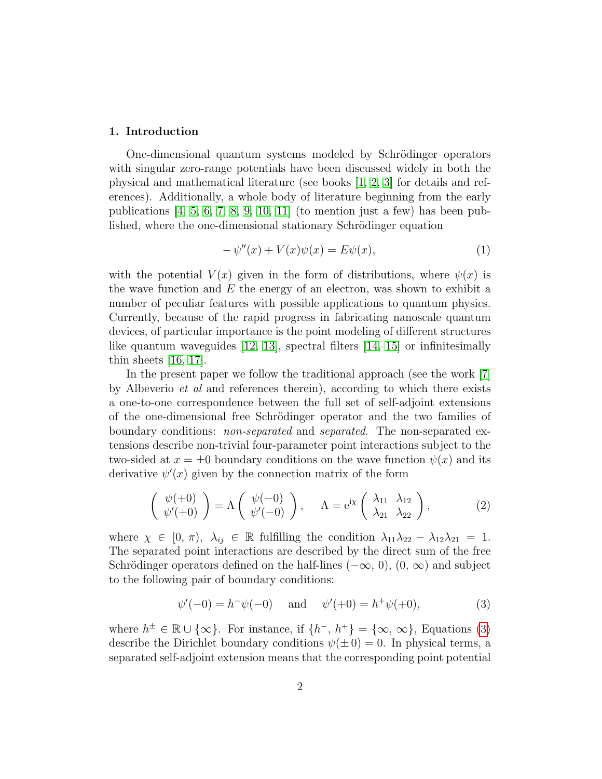### 1. Introduction

One-dimensional quantum systems modeled by Schrödinger operators with singular zero-range potentials have been discussed widely in both the physical and mathematical literature (see books [\[1,](#page-32-0) [2,](#page-32-1) [3\]](#page-32-2) for details and references). Additionally, a whole body of literature beginning from the early publications  $[4, 5, 6, 7, 8, 9, 10, 11]$  $[4, 5, 6, 7, 8, 9, 10, 11]$  $[4, 5, 6, 7, 8, 9, 10, 11]$  $[4, 5, 6, 7, 8, 9, 10, 11]$  $[4, 5, 6, 7, 8, 9, 10, 11]$  $[4, 5, 6, 7, 8, 9, 10, 11]$  $[4, 5, 6, 7, 8, 9, 10, 11]$  $[4, 5, 6, 7, 8, 9, 10, 11]$  (to mention just a few) has been published, where the one-dimensional stationary Schrödinger equation

<span id="page-1-1"></span>
$$
-\psi''(x) + V(x)\psi(x) = E\psi(x),\tag{1}
$$

with the potential  $V(x)$  given in the form of distributions, where  $\psi(x)$  is the wave function and  $E$  the energy of an electron, was shown to exhibit a number of peculiar features with possible applications to quantum physics. Currently, because of the rapid progress in fabricating nanoscale quantum devices, of particular importance is the point modeling of different structures like quantum waveguides [\[12,](#page-33-5) [13\]](#page-33-6), spectral filters [\[14,](#page-33-7) [15\]](#page-33-8) or infinitesimally thin sheets  $|16, 17|$ .

In the present paper we follow the traditional approach (see the work [\[7\]](#page-33-0) by Albeverio et al and references therein), according to which there exists a one-to-one correspondence between the full set of self-adjoint extensions of the one-dimensional free Schrödinger operator and the two families of boundary conditions: non-separated and separated. The non-separated extensions describe non-trivial four-parameter point interactions subject to the two-sided at  $x = \pm 0$  boundary conditions on the wave function  $\psi(x)$  and its derivative  $\psi'(x)$  given by the connection matrix of the form

<span id="page-1-2"></span>
$$
\begin{pmatrix}\n\psi(+0) \\
\psi'(+0)\n\end{pmatrix} = \Lambda \begin{pmatrix}\n\psi(-0) \\
\psi'(-0)\n\end{pmatrix}, \quad \Lambda = e^{i\chi} \begin{pmatrix}\n\lambda_{11} & \lambda_{12} \\
\lambda_{21} & \lambda_{22}\n\end{pmatrix},
$$
\n(2)

where  $\chi \in [0, \pi)$ ,  $\lambda_{ij} \in \mathbb{R}$  fulfilling the condition  $\lambda_{11}\lambda_{22} - \lambda_{12}\lambda_{21} = 1$ . The separated point interactions are described by the direct sum of the free Schrödinger operators defined on the half-lines  $(-\infty, 0)$ ,  $(0, \infty)$  and subject to the following pair of boundary conditions:

<span id="page-1-0"></span>
$$
\psi'(-0) = h^-\psi(-0)
$$
 and  $\psi'(+0) = h^+\psi(+0)$ , (3)

where  $h^{\pm} \in \mathbb{R} \cup \{\infty\}$ . For instance, if  $\{h^-, h^+\} = \{\infty, \infty\}$ , Equations [\(3\)](#page-1-0) describe the Dirichlet boundary conditions  $\psi(\pm 0) = 0$ . In physical terms, a separated self-adjoint extension means that the corresponding point potential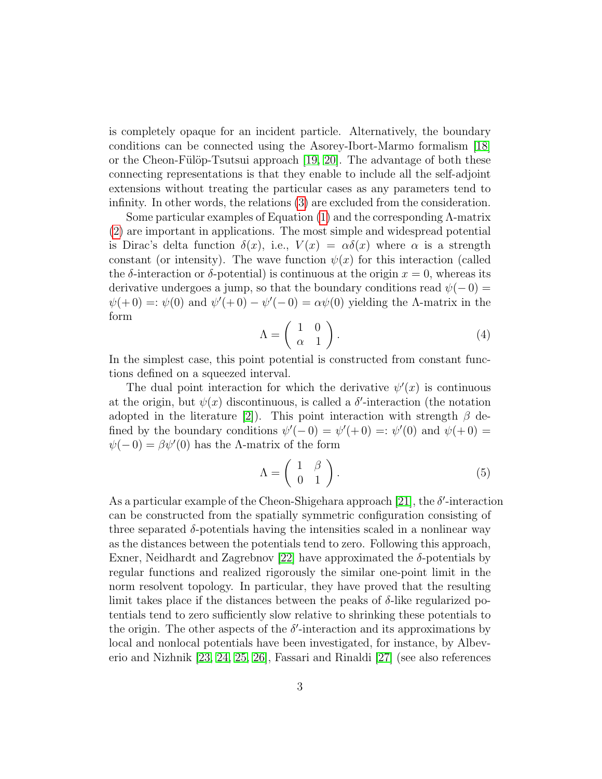is completely opaque for an incident particle. Alternatively, the boundary conditions can be connected using the Asorey-Ibort-Marmo formalism [\[18\]](#page-34-0) or the Cheon-Fülöp-Tsutsui approach  $(19, 20)$ . The advantage of both these connecting representations is that they enable to include all the self-adjoint extensions without treating the particular cases as any parameters tend to infinity. In other words, the relations [\(3\)](#page-1-0) are excluded from the consideration.

Some particular examples of Equation [\(1\)](#page-1-1) and the corresponding Λ-matrix [\(2\)](#page-1-2) are important in applications. The most simple and widespread potential is Dirac's delta function  $\delta(x)$ , i.e.,  $V(x) = \alpha \delta(x)$  where  $\alpha$  is a strength constant (or intensity). The wave function  $\psi(x)$  for this interaction (called the  $\delta$ -interaction or  $\delta$ -potential) is continuous at the origin  $x = 0$ , whereas its derivative undergoes a jump, so that the boundary conditions read  $\psi(-0) =$  $\psi(+0) = \psi(0)$  and  $\psi'(+0) - \psi'(-0) = \alpha \psi(0)$  yielding the A-matrix in the form

<span id="page-2-1"></span>
$$
\Lambda = \left( \begin{array}{cc} 1 & 0 \\ \alpha & 1 \end{array} \right). \tag{4}
$$

In the simplest case, this point potential is constructed from constant functions defined on a squeezed interval.

The dual point interaction for which the derivative  $\psi'(x)$  is continuous at the origin, but  $\psi(x)$  discontinuous, is called a  $\delta'$ -interaction (the notation adopted in the literature [\[2\]](#page-32-1)). This point interaction with strength  $\beta$  defined by the boundary conditions  $\psi'(-0) = \psi'(0) =: \psi'(0)$  and  $\psi(+0) =$  $\psi(-0) = \beta \psi'(0)$  has the A-matrix of the form

<span id="page-2-0"></span>
$$
\Lambda = \left(\begin{array}{cc} 1 & \beta \\ 0 & 1 \end{array}\right). \tag{5}
$$

As a particular example of the Cheon-Shigehara approach [\[21\]](#page-34-3), the  $\delta'$ -interaction can be constructed from the spatially symmetric configuration consisting of three separated  $\delta$ -potentials having the intensities scaled in a nonlinear way as the distances between the potentials tend to zero. Following this approach, Exner, Neidhardt and Zagrebnov [\[22\]](#page-34-4) have approximated the  $\delta$ -potentials by regular functions and realized rigorously the similar one-point limit in the norm resolvent topology. In particular, they have proved that the resulting limit takes place if the distances between the peaks of  $\delta$ -like regularized potentials tend to zero sufficiently slow relative to shrinking these potentials to the origin. The other aspects of the  $\delta'$ -interaction and its approximations by local and nonlocal potentials have been investigated, for instance, by Albeverio and Nizhnik [\[23,](#page-34-5) [24,](#page-34-6) [25,](#page-34-7) [26\]](#page-34-8), Fassari and Rinaldi [\[27\]](#page-34-9) (see also references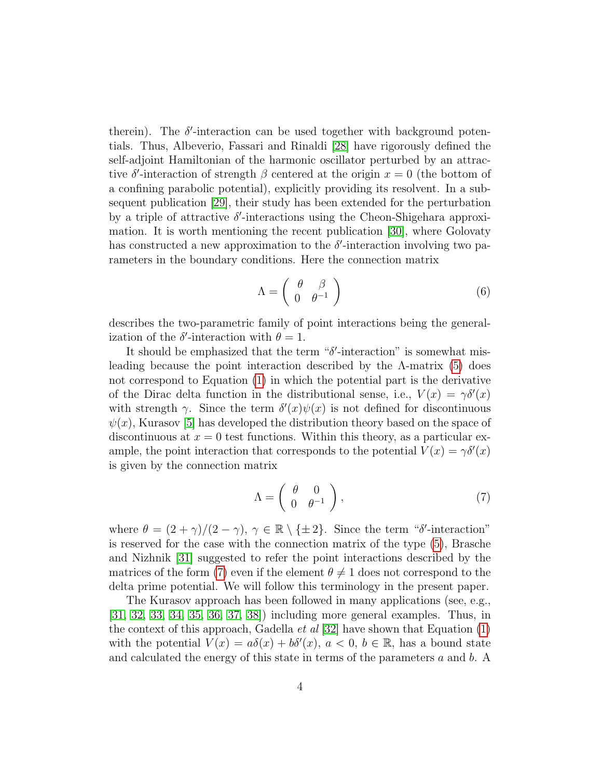therein). The  $\delta'$ -interaction can be used together with background potentials. Thus, Albeverio, Fassari and Rinaldi [\[28\]](#page-35-0) have rigorously defined the self-adjoint Hamiltonian of the harmonic oscillator perturbed by an attractive  $\delta'$ -interaction of strength  $\beta$  centered at the origin  $x = 0$  (the bottom of a confining parabolic potential), explicitly providing its resolvent. In a subsequent publication [\[29\]](#page-35-1), their study has been extended for the perturbation by a triple of attractive  $\delta'$ -interactions using the Cheon-Shigehara approximation. It is worth mentioning the recent publication [\[30\]](#page-35-2), where Golovaty has constructed a new approximation to the  $\delta'$ -interaction involving two parameters in the boundary conditions. Here the connection matrix

$$
\Lambda = \left(\begin{array}{cc} \theta & \beta \\ 0 & \theta^{-1} \end{array}\right) \tag{6}
$$

describes the two-parametric family of point interactions being the generalization of the  $\delta'$ -interaction with  $\theta = 1$ .

It should be emphasized that the term " $\delta'$ -interaction" is somewhat misleading because the point interaction described by the Λ-matrix [\(5\)](#page-2-0) does not correspond to Equation [\(1\)](#page-1-1) in which the potential part is the derivative of the Dirac delta function in the distributional sense, i.e.,  $V(x) = \gamma \delta'(x)$ with strength  $\gamma$ . Since the term  $\delta'(x)\psi(x)$  is not defined for discontinuous  $\psi(x)$ , Kurasov [\[5\]](#page-32-4) has developed the distribution theory based on the space of discontinuous at  $x = 0$  test functions. Within this theory, as a particular example, the point interaction that corresponds to the potential  $V(x) = \gamma \delta'(x)$ is given by the connection matrix

<span id="page-3-0"></span>
$$
\Lambda = \left(\begin{array}{cc} \theta & 0\\ 0 & \theta^{-1} \end{array}\right),\tag{7}
$$

where  $\theta = (2 + \gamma)/(2 - \gamma), \gamma \in \mathbb{R} \setminus \{\pm 2\}$ . Since the term "δ'-interaction" is reserved for the case with the connection matrix of the type [\(5\)](#page-2-0), Brasche and Nizhnik [\[31\]](#page-35-3) suggested to refer the point interactions described by the matrices of the form [\(7\)](#page-3-0) even if the element  $\theta \neq 1$  does not correspond to the delta prime potential. We will follow this terminology in the present paper.

The Kurasov approach has been followed in many applications (see, e.g., [\[31,](#page-35-3) [32,](#page-35-4) [33,](#page-35-5) [34,](#page-35-6) [35,](#page-35-7) [36,](#page-35-8) [37,](#page-36-0) [38\]](#page-36-1)) including more general examples. Thus, in the context of this approach, Gadella *et al* [\[32\]](#page-35-4) have shown that Equation  $(1)$ with the potential  $V(x) = a\delta(x) + b\delta'(x)$ ,  $a < 0$ ,  $b \in \mathbb{R}$ , has a bound state and calculated the energy of this state in terms of the parameters a and b. A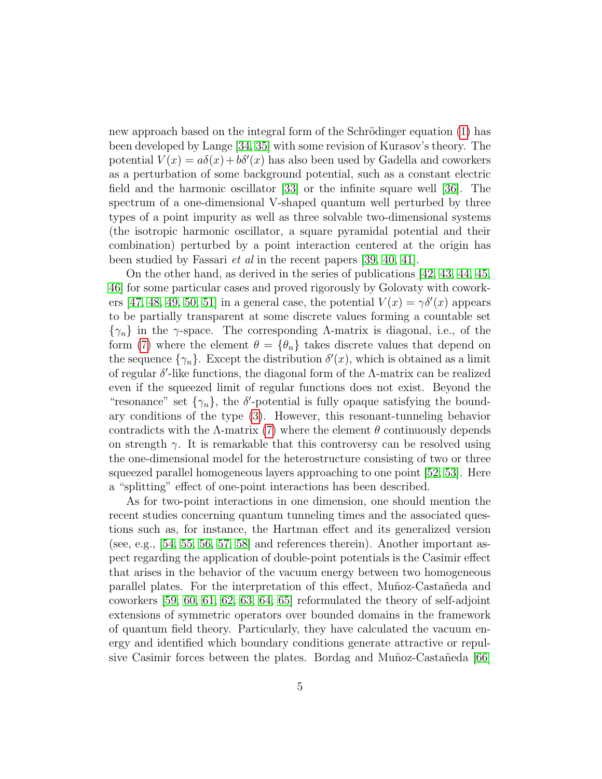new approach based on the integral form of the Schrödinger equation [\(1\)](#page-1-1) has been developed by Lange [\[34,](#page-35-6) [35\]](#page-35-7) with some revision of Kurasov's theory. The potential  $V(x) = a\delta(x) + b\delta'(x)$  has also been used by Gadella and coworkers as a perturbation of some background potential, such as a constant electric field and the harmonic oscillator [\[33\]](#page-35-5) or the infinite square well [\[36\]](#page-35-8). The spectrum of a one-dimensional V-shaped quantum well perturbed by three types of a point impurity as well as three solvable two-dimensional systems (the isotropic harmonic oscillator, a square pyramidal potential and their combination) perturbed by a point interaction centered at the origin has been studied by Fassari et al in the recent papers [\[39,](#page-36-2) [40,](#page-36-3) [41\]](#page-36-4).

On the other hand, as derived in the series of publications [\[42,](#page-36-5) [43,](#page-36-6) [44,](#page-36-7) [45,](#page-36-8) [46\]](#page-37-0) for some particular cases and proved rigorously by Golovaty with cowork-ers [\[47,](#page-37-1) [48,](#page-37-2) [49,](#page-37-3) [50,](#page-37-4) [51\]](#page-37-5) in a general case, the potential  $V(x) = \gamma \delta'(x)$  appears to be partially transparent at some discrete values forming a countable set  $\{\gamma_n\}$  in the  $\gamma$ -space. The corresponding  $\Lambda$ -matrix is diagonal, i.e., of the form [\(7\)](#page-3-0) where the element  $\theta = {\theta_n}$  takes discrete values that depend on the sequence  $\{\gamma_n\}$ . Except the distribution  $\delta'(x)$ , which is obtained as a limit of regular  $\delta'$ -like functions, the diagonal form of the  $\Lambda$ -matrix can be realized even if the squeezed limit of regular functions does not exist. Beyond the "resonance" set  $\{\gamma_n\}$ , the  $\delta'$ -potential is fully opaque satisfying the boundary conditions of the type [\(3\)](#page-1-0). However, this resonant-tunneling behavior contradicts with the  $\Lambda$ -matrix [\(7\)](#page-3-0) where the element  $\theta$  continuously depends on strength  $\gamma$ . It is remarkable that this controversy can be resolved using the one-dimensional model for the heterostructure consisting of two or three squeezed parallel homogeneous layers approaching to one point [\[52,](#page-37-6) [53\]](#page-37-7). Here a "splitting" effect of one-point interactions has been described.

As for two-point interactions in one dimension, one should mention the recent studies concerning quantum tunneling times and the associated questions such as, for instance, the Hartman effect and its generalized version (see, e.g.,  $[54, 55, 56, 57, 58]$  $[54, 55, 56, 57, 58]$  $[54, 55, 56, 57, 58]$  $[54, 55, 56, 57, 58]$  $[54, 55, 56, 57, 58]$  and references therein). Another important aspect regarding the application of double-point potentials is the Casimir effect that arises in the behavior of the vacuum energy between two homogeneous parallel plates. For the interpretation of this effect, Mu˜noz-Casta˜neda and coworkers [\[59,](#page-38-4) [60,](#page-38-5) [61,](#page-38-6) [62,](#page-38-7) [63,](#page-38-8) [64,](#page-38-9) [65\]](#page-39-0) reformulated the theory of self-adjoint extensions of symmetric operators over bounded domains in the framework of quantum field theory. Particularly, they have calculated the vacuum energy and identified which boundary conditions generate attractive or repul-sive Casimir forces between the plates. Bordag and Muñoz-Castañeda [\[66\]](#page-39-1)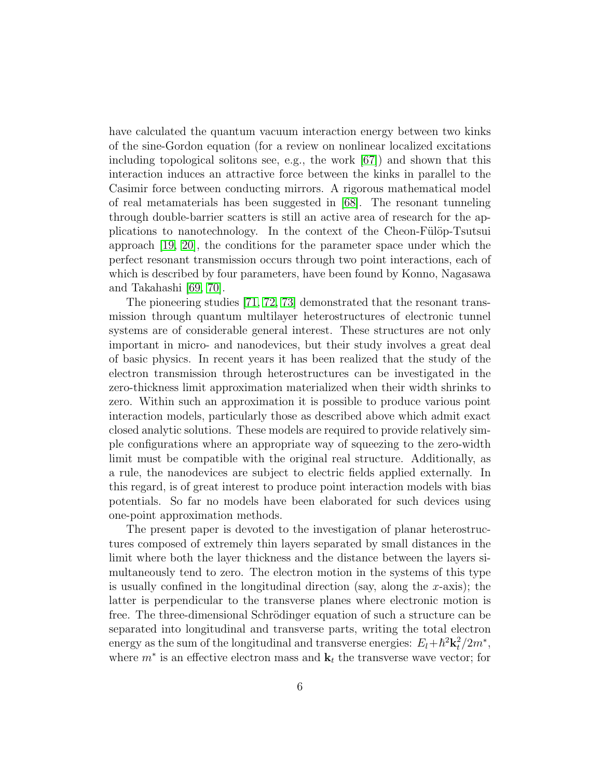have calculated the quantum vacuum interaction energy between two kinks of the sine-Gordon equation (for a review on nonlinear localized excitations including topological solitons see, e.g., the work [\[67\]](#page-39-2)) and shown that this interaction induces an attractive force between the kinks in parallel to the Casimir force between conducting mirrors. A rigorous mathematical model of real metamaterials has been suggested in [\[68\]](#page-39-3). The resonant tunneling through double-barrier scatters is still an active area of research for the applications to nanotechnology. In the context of the Cheon-Fülöp-Tsutsui approach [\[19,](#page-34-1) [20\]](#page-34-2), the conditions for the parameter space under which the perfect resonant transmission occurs through two point interactions, each of which is described by four parameters, have been found by Konno, Nagasawa and Takahashi [\[69,](#page-39-4) [70\]](#page-39-5).

The pioneering studies [\[71,](#page-39-6) [72,](#page-39-7) [73\]](#page-39-8) demonstrated that the resonant transmission through quantum multilayer heterostructures of electronic tunnel systems are of considerable general interest. These structures are not only important in micro- and nanodevices, but their study involves a great deal of basic physics. In recent years it has been realized that the study of the electron transmission through heterostructures can be investigated in the zero-thickness limit approximation materialized when their width shrinks to zero. Within such an approximation it is possible to produce various point interaction models, particularly those as described above which admit exact closed analytic solutions. These models are required to provide relatively simple configurations where an appropriate way of squeezing to the zero-width limit must be compatible with the original real structure. Additionally, as a rule, the nanodevices are subject to electric fields applied externally. In this regard, is of great interest to produce point interaction models with bias potentials. So far no models have been elaborated for such devices using one-point approximation methods.

The present paper is devoted to the investigation of planar heterostructures composed of extremely thin layers separated by small distances in the limit where both the layer thickness and the distance between the layers simultaneously tend to zero. The electron motion in the systems of this type is usually confined in the longitudinal direction (say, along the x-axis); the latter is perpendicular to the transverse planes where electronic motion is free. The three-dimensional Schrödinger equation of such a structure can be separated into longitudinal and transverse parts, writing the total electron energy as the sum of the longitudinal and transverse energies:  $E_l + \hbar^2 \mathbf{k}_t^2$  $t^2/2m^*$ , where  $m^*$  is an effective electron mass and  $\mathbf{k}_t$  the transverse wave vector; for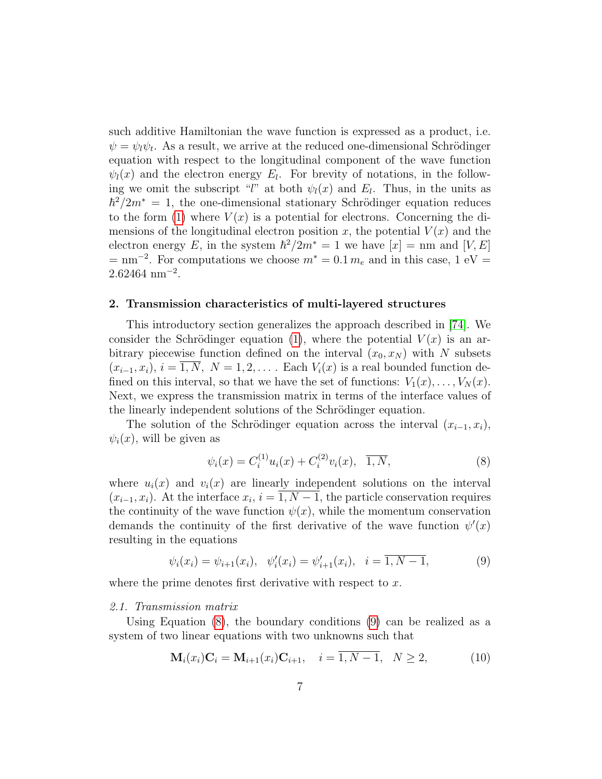such additive Hamiltonian the wave function is expressed as a product, i.e.  $\psi = \psi_l \psi_t$ . As a result, we arrive at the reduced one-dimensional Schrödinger equation with respect to the longitudinal component of the wave function  $\psi_l(x)$  and the electron energy  $E_l$ . For brevity of notations, in the following we omit the subscript "l" at both  $\psi_l(x)$  and  $E_l$ . Thus, in the units as  $\hbar^2/2m^* = 1$ , the one-dimensional stationary Schrödinger equation reduces to the form [\(1\)](#page-1-1) where  $V(x)$  is a potential for electrons. Concerning the dimensions of the longitudinal electron position x, the potential  $V(x)$  and the electron energy E, in the system  $\hbar^2/2m^* = 1$  we have  $[x] = \text{nm}$  and  $[V, E]$  $=$  nm<sup>-2</sup>. For computations we choose  $m^* = 0.1 m_e$  and in this case, 1 eV =  $2.62464$  nm<sup>-2</sup>.

### 2. Transmission characteristics of multi-layered structures

This introductory section generalizes the approach described in [\[74\]](#page-39-9). We consider the Schrödinger equation [\(1\)](#page-1-1), where the potential  $V(x)$  is an arbitrary piecewise function defined on the interval  $(x_0, x_N)$  with N subsets  $(x_{i-1}, x_i), i = \overline{1, N}, N = 1, 2, \ldots$ . Each  $V_i(x)$  is a real bounded function defined on this interval, so that we have the set of functions:  $V_1(x), \ldots, V_N(x)$ . Next, we express the transmission matrix in terms of the interface values of the linearly independent solutions of the Schrödinger equation.

The solution of the Schrödinger equation across the interval  $(x_{i-1}, x_i)$ ,  $\psi_i(x)$ , will be given as

<span id="page-6-0"></span>
$$
\psi_i(x) = C_i^{(1)} u_i(x) + C_i^{(2)} v_i(x), \quad \overline{1, N}, \tag{8}
$$

where  $u_i(x)$  and  $v_i(x)$  are linearly independent solutions on the interval  $(x_{i-1}, x_i)$ . At the interface  $x_i, i = \overline{1, N-1}$ , the particle conservation requires the continuity of the wave function  $\psi(x)$ , while the momentum conservation demands the continuity of the first derivative of the wave function  $\psi'(x)$ resulting in the equations

<span id="page-6-1"></span>
$$
\psi_i(x_i) = \psi_{i+1}(x_i), \quad \psi'_i(x_i) = \psi'_{i+1}(x_i), \quad i = \overline{1, N-1},
$$
\n(9)

where the prime denotes first derivative with respect to  $x$ .

### 2.1. Transmission matrix

Using Equation [\(8\)](#page-6-0), the boundary conditions [\(9\)](#page-6-1) can be realized as a system of two linear equations with two unknowns such that

<span id="page-6-2"></span>
$$
\mathbf{M}_{i}(x_{i})\mathbf{C}_{i} = \mathbf{M}_{i+1}(x_{i})\mathbf{C}_{i+1}, \quad i = \overline{1, N-1}, \quad N \ge 2,
$$
 (10)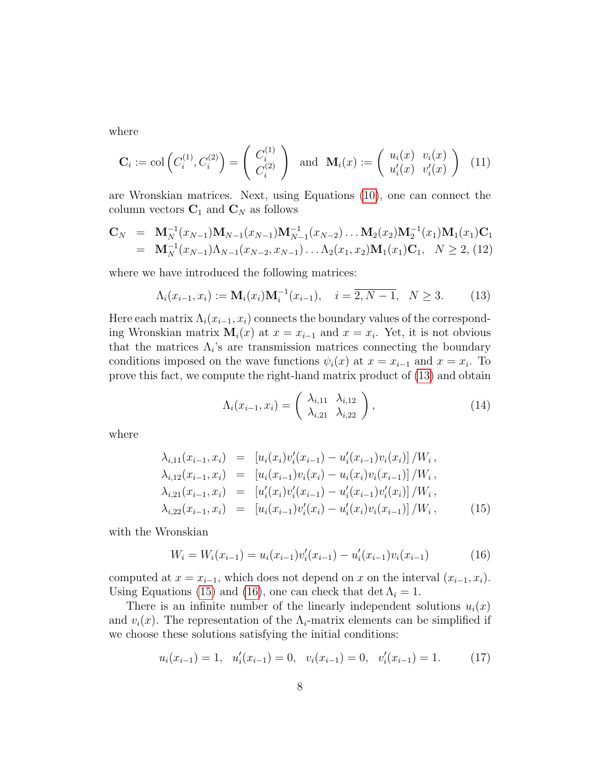where

$$
\mathbf{C}_i := \text{col}\left(C_i^{(1)}, C_i^{(2)}\right) = \left(\begin{array}{c} C_i^{(1)} \\ C_i^{(2)} \end{array}\right) \quad \text{and} \quad \mathbf{M}_i(x) := \left(\begin{array}{cc} u_i(x) & v_i(x) \\ u'_i(x) & v'_i(x) \end{array}\right) \tag{11}
$$

are Wronskian matrices. Next, using Equations [\(10\)](#page-6-2), one can connect the column vectors  $C_1$  and  $C_N$  as follows

<span id="page-7-3"></span>
$$
\mathbf{C}_{N} = \mathbf{M}_{N}^{-1}(x_{N-1})\mathbf{M}_{N-1}(x_{N-1})\mathbf{M}_{N-1}^{-1}(x_{N-2})\dots\mathbf{M}_{2}(x_{2})\mathbf{M}_{2}^{-1}(x_{1})\mathbf{M}_{1}(x_{1})\mathbf{C}_{1}
$$
  
=  $\mathbf{M}_{N}^{-1}(x_{N-1})\Lambda_{N-1}(x_{N-2},x_{N-1})\dots\Lambda_{2}(x_{1},x_{2})\mathbf{M}_{1}(x_{1})\mathbf{C}_{1}, \quad N \ge 2, (12)$ 

where we have introduced the following matrices:

<span id="page-7-0"></span>
$$
\Lambda_i(x_{i-1}, x_i) := \mathbf{M}_i(x_i) \mathbf{M}_i^{-1}(x_{i-1}), \quad i = \overline{2, N-1}, \quad N \ge 3. \tag{13}
$$

Here each matrix  $\Lambda_i(x_{i-1}, x_i)$  connects the boundary values of the corresponding Wronskian matrix  $\mathbf{M}_i(x)$  at  $x = x_{i-1}$  and  $x = x_i$ . Yet, it is not obvious that the matrices  $\Lambda_i$ 's are transmission matrices connecting the boundary conditions imposed on the wave functions  $\psi_i(x)$  at  $x = x_{i-1}$  and  $x = x_i$ . To prove this fact, we compute the right-hand matrix product of [\(13\)](#page-7-0) and obtain

$$
\Lambda_i(x_{i-1}, x_i) = \begin{pmatrix} \lambda_{i,11} & \lambda_{i,12} \\ \lambda_{i,21} & \lambda_{i,22} \end{pmatrix},
$$
\n(14)

where

<span id="page-7-1"></span>
$$
\lambda_{i,11}(x_{i-1}, x_i) = [u_i(x_i)v'_i(x_{i-1}) - u'_i(x_{i-1})v_i(x_i)] / W_i,
$$
  
\n
$$
\lambda_{i,12}(x_{i-1}, x_i) = [u_i(x_{i-1})v_i(x_i) - u_i(x_i)v_i(x_{i-1})] / W_i,
$$
  
\n
$$
\lambda_{i,21}(x_{i-1}, x_i) = [u'_i(x_i)v'_i(x_{i-1}) - u'_i(x_{i-1})v'_i(x_i)] / W_i,
$$
  
\n
$$
\lambda_{i,22}(x_{i-1}, x_i) = [u_i(x_{i-1})v'_i(x_i) - u'_i(x_i)v_i(x_{i-1})] / W_i,
$$
\n(15)

with the Wronskian

<span id="page-7-2"></span>
$$
W_i = W_i(x_{i-1}) = u_i(x_{i-1})v_i'(x_{i-1}) - u_i'(x_{i-1})v_i(x_{i-1})
$$
\n(16)

computed at  $x = x_{i-1}$ , which does not depend on x on the interval  $(x_{i-1}, x_i)$ . Using Equations [\(15\)](#page-7-1) and [\(16\)](#page-7-2), one can check that det  $\Lambda_i = 1$ .

There is an infinite number of the linearly independent solutions  $u_i(x)$ and  $v_i(x)$ . The representation of the  $\Lambda_i$ -matrix elements can be simplified if we choose these solutions satisfying the initial conditions:

<span id="page-7-4"></span>
$$
u_i(x_{i-1}) = 1, \quad u'_i(x_{i-1}) = 0, \quad v_i(x_{i-1}) = 0, \quad v'_i(x_{i-1}) = 1. \tag{17}
$$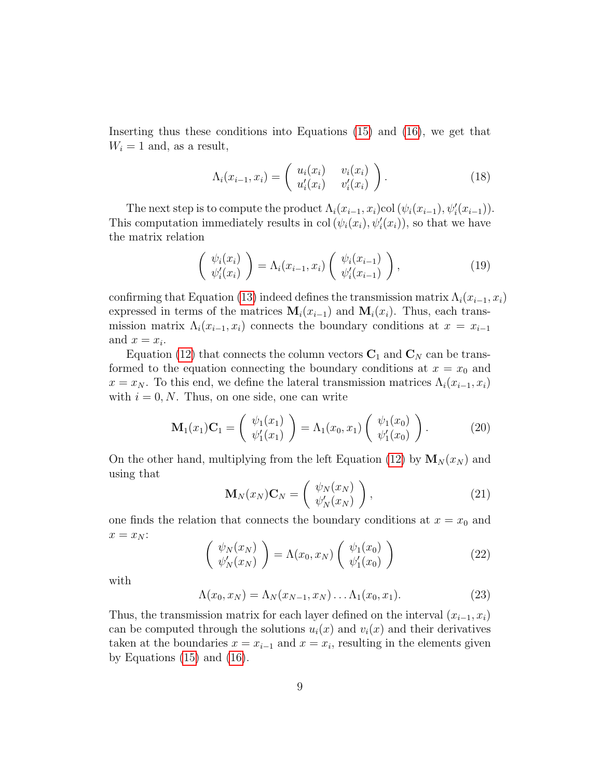Inserting thus these conditions into Equations [\(15\)](#page-7-1) and [\(16\)](#page-7-2), we get that  $W_i = 1$  and, as a result,

<span id="page-8-0"></span>
$$
\Lambda_i(x_{i-1}, x_i) = \begin{pmatrix} u_i(x_i) & v_i(x_i) \\ u'_i(x_i) & v'_i(x_i) \end{pmatrix}.
$$
 (18)

The next step is to compute the product  $\Lambda_i(x_{i-1}, x_i)$ col  $(\psi_i(x_{i-1}), \psi'_i(x_{i-1}))$ . This computation immediately results in col  $(\psi_i(x_i), \psi'_i(x_i))$ , so that we have the matrix relation

$$
\begin{pmatrix}\n\psi_i(x_i) \\
\psi'_i(x_i)\n\end{pmatrix} = \Lambda_i(x_{i-1}, x_i) \begin{pmatrix}\n\psi_i(x_{i-1}) \\
\psi'_i(x_{i-1})\n\end{pmatrix},
$$
\n(19)

confirming that Equation [\(13\)](#page-7-0) indeed defines the transmission matrix  $\Lambda_i(x_{i-1}, x_i)$ expressed in terms of the matrices  $\mathbf{M}_i(x_{i-1})$  and  $\mathbf{M}_i(x_i)$ . Thus, each transmission matrix  $\Lambda_i(x_{i-1}, x_i)$  connects the boundary conditions at  $x = x_{i-1}$ and  $x = x_i$ .

Equation [\(12\)](#page-7-3) that connects the column vectors  $C_1$  and  $C_N$  can be transformed to the equation connecting the boundary conditions at  $x = x_0$  and  $x = x_N$ . To this end, we define the lateral transmission matrices  $\Lambda_i(x_{i-1}, x_i)$ with  $i = 0, N$ . Thus, on one side, one can write

$$
\mathbf{M}_1(x_1)\mathbf{C}_1 = \begin{pmatrix} \psi_1(x_1) \\ \psi'_1(x_1) \end{pmatrix} = \Lambda_1(x_0, x_1) \begin{pmatrix} \psi_1(x_0) \\ \psi'_1(x_0) \end{pmatrix}.
$$
 (20)

On the other hand, multiplying from the left Equation [\(12\)](#page-7-3) by  $\mathbf{M}_{N}(x_{N})$  and using that

$$
\mathbf{M}_N(x_N)\mathbf{C}_N = \left(\begin{array}{c} \psi_N(x_N) \\ \psi'_N(x_N) \end{array}\right),\tag{21}
$$

one finds the relation that connects the boundary conditions at  $x = x_0$  and  $x = x_N$ :

$$
\begin{pmatrix}\n\psi_N(x_N) \\
\psi'_N(x_N)\n\end{pmatrix} = \Lambda(x_0, x_N) \begin{pmatrix}\n\psi_1(x_0) \\
\psi'_1(x_0)\n\end{pmatrix}
$$
\n(22)

with

<span id="page-8-1"></span>
$$
\Lambda(x_0, x_N) = \Lambda_N(x_{N-1}, x_N) \dots \Lambda_1(x_0, x_1). \tag{23}
$$

Thus, the transmission matrix for each layer defined on the interval  $(x_{i-1}, x_i)$ can be computed through the solutions  $u_i(x)$  and  $v_i(x)$  and their derivatives taken at the boundaries  $x = x_{i-1}$  and  $x = x_i$ , resulting in the elements given by Equations  $(15)$  and  $(16)$ .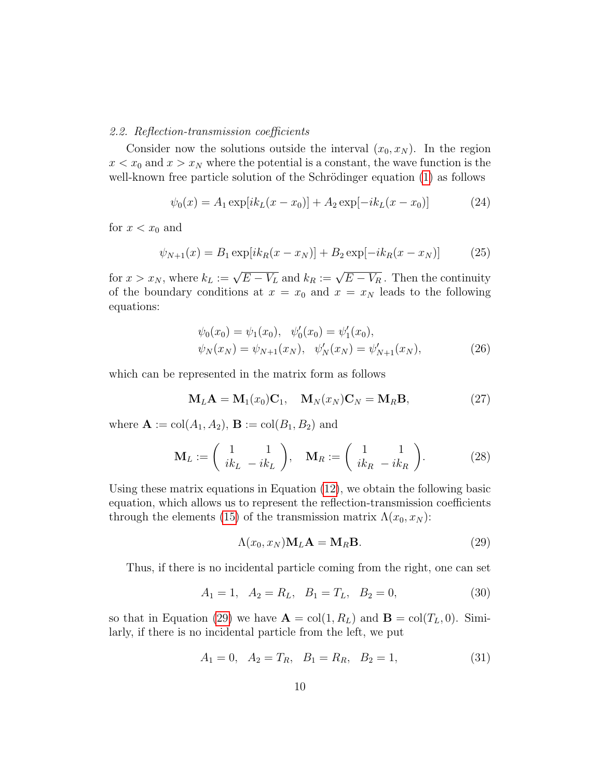### 2.2. Reflection-transmission coefficients

Consider now the solutions outside the interval  $(x_0, x_N)$ . In the region  $x < x_0$  and  $x > x_N$  where the potential is a constant, the wave function is the well-known free particle solution of the Schrödinger equation [\(1\)](#page-1-1) as follows

$$
\psi_0(x) = A_1 \exp[i k_L(x - x_0)] + A_2 \exp[-ik_L(x - x_0)] \tag{24}
$$

for  $x < x_0$  and

$$
\psi_{N+1}(x) = B_1 \exp[i k_R(x - x_N)] + B_2 \exp[-ik_R(x - x_N)] \tag{25}
$$

for  $x > x_N$ , where  $k_L := \sqrt{E - V_L}$  and  $k_R := \sqrt{E - V_R}$ . Then the continuity of the boundary conditions at  $x = x_0$  and  $x = x_N$  leads to the following equations:

$$
\psi_0(x_0) = \psi_1(x_0), \quad \psi'_0(x_0) = \psi'_1(x_0), \n\psi_N(x_N) = \psi_{N+1}(x_N), \quad \psi'_N(x_N) = \psi'_{N+1}(x_N),
$$
\n(26)

which can be represented in the matrix form as follows

$$
\mathbf{M}_L \mathbf{A} = \mathbf{M}_1(x_0) \mathbf{C}_1, \quad \mathbf{M}_N(x_N) \mathbf{C}_N = \mathbf{M}_R \mathbf{B}, \tag{27}
$$

where  $\mathbf{A} := \text{col}(A_1, A_2), \mathbf{B} := \text{col}(B_1, B_2)$  and

<span id="page-9-1"></span>
$$
\mathbf{M}_L := \begin{pmatrix} 1 & 1 \\ ik_L & -ik_L \end{pmatrix}, \quad \mathbf{M}_R := \begin{pmatrix} 1 & 1 \\ ik_R & -ik_R \end{pmatrix}.
$$
 (28)

Using these matrix equations in Equation [\(12\)](#page-7-3), we obtain the following basic equation, which allows us to represent the reflection-transmission coefficients through the elements [\(15\)](#page-7-1) of the transmission matrix  $\Lambda(x_0, x_N)$ :

<span id="page-9-0"></span>
$$
\Lambda(x_0, x_N) \mathbf{M}_L \mathbf{A} = \mathbf{M}_R \mathbf{B}.
$$
 (29)

Thus, if there is no incidental particle coming from the right, one can set

$$
A_1 = 1, \quad A_2 = R_L, \quad B_1 = T_L, \quad B_2 = 0,\tag{30}
$$

so that in Equation [\(29\)](#page-9-0) we have  $\mathbf{A} = \text{col}(1, R_L)$  and  $\mathbf{B} = \text{col}(T_L, 0)$ . Similarly, if there is no incidental particle from the left, we put

$$
A_1 = 0, \quad A_2 = T_R, \quad B_1 = R_R, \quad B_2 = 1,\tag{31}
$$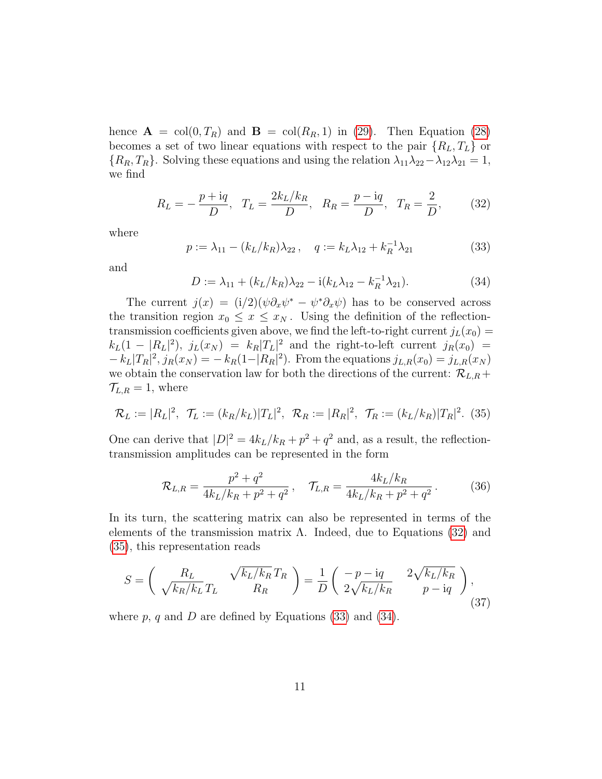hence  $\mathbf{A} = \text{col}(0, T_R)$  and  $\mathbf{B} = \text{col}(R_R, 1)$  in [\(29\)](#page-9-0). Then Equation [\(28\)](#page-9-1) becomes a set of two linear equations with respect to the pair  $\{R_L, T_L\}$  or  ${R_R, T_R}$ . Solving these equations and using the relation  $\lambda_{11}\lambda_{22}-\lambda_{12}\lambda_{21}=1$ , we find

<span id="page-10-0"></span>
$$
R_L = -\frac{p + iq}{D}, T_L = \frac{2k_L/k_R}{D}, R_R = \frac{p - iq}{D}, T_R = \frac{2}{D},
$$
 (32)

where

<span id="page-10-2"></span>
$$
p := \lambda_{11} - (k_L / k_R) \lambda_{22}, \quad q := k_L \lambda_{12} + k_R^{-1} \lambda_{21}
$$
 (33)

and

<span id="page-10-3"></span>
$$
D := \lambda_{11} + (k_L/k_R)\lambda_{22} - i(k_L\lambda_{12} - k_R^{-1}\lambda_{21}).
$$
\n(34)

The current  $j(x) = (i/2)(\psi \partial_x \psi^* - \psi^* \partial_x \psi)$  has to be conserved across the transition region  $x_0 \leq x \leq x_N$ . Using the definition of the reflectiontransmission coefficients given above, we find the left-to-right current  $j_L(x_0) =$  $k_L(1 - |R_L|^2)$ ,  $j_L(x_N) = k_R |T_L|^2$  and the right-to-left current  $j_R(x_0)$  =  $-k_L|T_R|^2$ ,  $j_R(x_N) = -k_R(1-|R_R|^2)$ . From the equations  $j_{L,R}(x_0) = j_{L,R}(x_N)$ we obtain the conservation law for both the directions of the current:  $\mathcal{R}_{L,R}$  +  $\mathcal{T}_{L,R} = 1$ , where

<span id="page-10-1"></span>
$$
\mathcal{R}_L := |R_L|^2, \ \mathcal{T}_L := (k_R/k_L)|T_L|^2, \ \mathcal{R}_R := |R_R|^2, \ \mathcal{T}_R := (k_L/k_R)|T_R|^2. \ (35)
$$

One can derive that  $|D|^2 = 4k_L/k_R + p^2 + q^2$  and, as a result, the reflectiontransmission amplitudes can be represented in the form

<span id="page-10-4"></span>
$$
\mathcal{R}_{L,R} = \frac{p^2 + q^2}{4k_L/k_R + p^2 + q^2}, \quad \mathcal{T}_{L,R} = \frac{4k_L/k_R}{4k_L/k_R + p^2 + q^2}.
$$
 (36)

In its turn, the scattering matrix can also be represented in terms of the elements of the transmission matrix  $\Lambda$ . Indeed, due to Equations [\(32\)](#page-10-0) and [\(35\)](#page-10-1), this representation reads

$$
S = \begin{pmatrix} R_L & \sqrt{k_L/k_R} T_R \\ \sqrt{k_R/k_L} T_L & R_R \end{pmatrix} = \frac{1}{D} \begin{pmatrix} -p - iq & 2\sqrt{k_L/k_R} \\ 2\sqrt{k_L/k_R} & p - iq \end{pmatrix},\tag{37}
$$

where p, q and D are defined by Equations [\(33\)](#page-10-2) and [\(34\)](#page-10-3).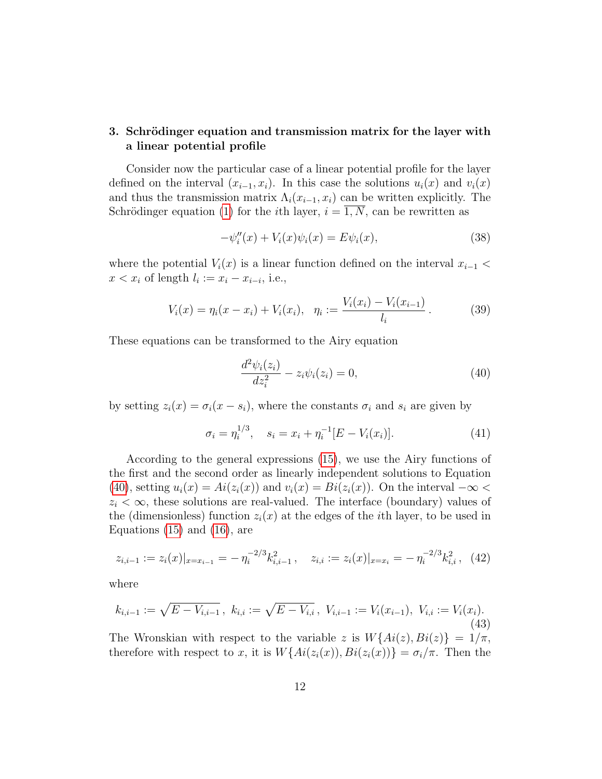# 3. Schrödinger equation and transmission matrix for the layer with a linear potential profile

Consider now the particular case of a linear potential profile for the layer defined on the interval  $(x_{i-1}, x_i)$ . In this case the solutions  $u_i(x)$  and  $v_i(x)$ and thus the transmission matrix  $\Lambda_i(x_{i-1}, x_i)$  can be written explicitly. The Schrödinger equation [\(1\)](#page-1-1) for the *i*th layer,  $i = \overline{1, N}$ , can be rewritten as

<span id="page-11-1"></span>
$$
-\psi_i''(x) + V_i(x)\psi_i(x) = E\psi_i(x),\tag{38}
$$

where the potential  $V_i(x)$  is a linear function defined on the interval  $x_{i-1}$  <  $x < x_i$  of length  $l_i := x_i - x_{i-i}$ , i.e.,

<span id="page-11-4"></span>
$$
V_i(x) = \eta_i(x - x_i) + V_i(x_i), \quad \eta_i := \frac{V_i(x_i) - V_i(x_{i-1})}{l_i}.
$$
 (39)

These equations can be transformed to the Airy equation

<span id="page-11-0"></span>
$$
\frac{d^2\psi_i(z_i)}{dz_i^2} - z_i\psi_i(z_i) = 0,
$$
\n(40)

by setting  $z_i(x) = \sigma_i(x - s_i)$ , where the constants  $\sigma_i$  and  $s_i$  are given by

$$
\sigma_i = \eta_i^{1/3}, \quad s_i = x_i + \eta_i^{-1} [E - V_i(x_i)]. \tag{41}
$$

According to the general expressions [\(15\)](#page-7-1), we use the Airy functions of the first and the second order as linearly independent solutions to Equation [\(40\)](#page-11-0), setting  $u_i(x) = Ai(z_i(x))$  and  $v_i(x) = Bi(z_i(x))$ . On the interval  $-\infty <$  $z_i < \infty$ , these solutions are real-valued. The interface (boundary) values of the (dimensionless) function  $z<sub>i</sub>(x)$  at the edges of the *i*th layer, to be used in Equations  $(15)$  and  $(16)$ , are

<span id="page-11-2"></span>
$$
z_{i,i-1} := z_i(x)|_{x=x_{i-1}} = -\eta_i^{-2/3} k_{i,i-1}^2, \quad z_{i,i} := z_i(x)|_{x=x_i} = -\eta_i^{-2/3} k_{i,i}^2, \tag{42}
$$

where

<span id="page-11-3"></span>
$$
k_{i,i-1} := \sqrt{E - V_{i,i-1}}, \ k_{i,i} := \sqrt{E - V_{i,i}}, \ V_{i,i-1} := V_i(x_{i-1}), \ V_{i,i} := V_i(x_i). \tag{43}
$$

The Wronskian with respect to the variable z is  $W\{Ai(z), Bi(z)\} = 1/\pi$ , therefore with respect to x, it is  $W\{Ai(z_i(x)), Bi(z_i(x))\} = \sigma_i/\pi$ . Then the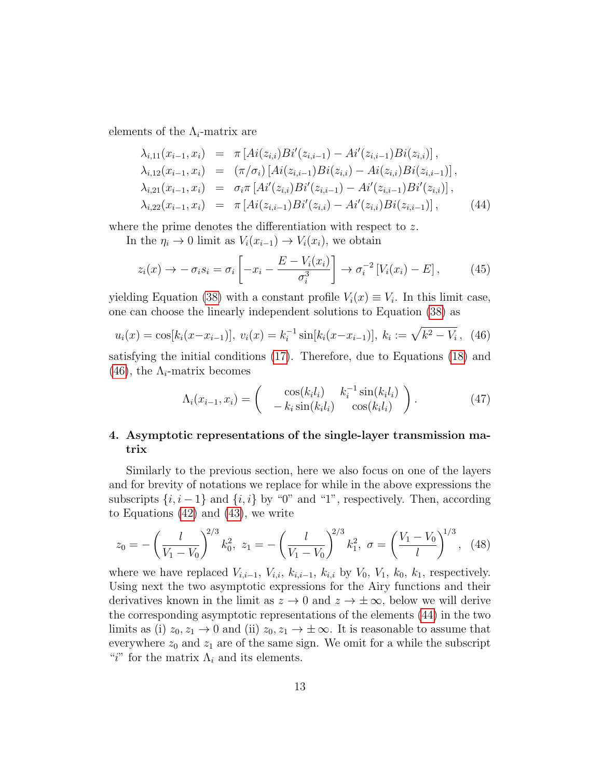elements of the  $\Lambda_i$ -matrix are

<span id="page-12-1"></span>
$$
\lambda_{i,11}(x_{i-1}, x_i) = \pi [Ai(z_{i,i}) Bi'(z_{i,i-1}) - Ai'(z_{i,i-1}) Bi(z_{i,i})],
$$
  
\n
$$
\lambda_{i,12}(x_{i-1}, x_i) = (\pi/\sigma_i) [Ai(z_{i,i-1}) Bi(z_{i,i}) - Ai(z_{i,i}) Bi(z_{i,i-1})],
$$
  
\n
$$
\lambda_{i,21}(x_{i-1}, x_i) = \sigma_i \pi [Ai'(z_{i,i}) Bi'(z_{i,i-1}) - Ai'(z_{i,i-1}) Bi'(z_{i,i})],
$$
  
\n
$$
\lambda_{i,22}(x_{i-1}, x_i) = \pi [Ai(z_{i,i-1}) Bi'(z_{i,i}) - Ai'(z_{i,i}) Bi(z_{i,i-1})],
$$
\n(44)

where the prime denotes the differentiation with respect to z.

In the  $\eta_i \to 0$  limit as  $V_i(x_{i-1}) \to V_i(x_i)$ , we obtain

$$
z_i(x) \to -\sigma_i s_i = \sigma_i \left[ -x_i - \frac{E - V_i(x_i)}{\sigma_i^3} \right] \to \sigma_i^{-2} \left[ V_i(x_i) - E \right],\tag{45}
$$

yielding Equation [\(38\)](#page-11-1) with a constant profile  $V_i(x) \equiv V_i$ . In this limit case, one can choose the linearly independent solutions to Equation [\(38\)](#page-11-1) as

<span id="page-12-0"></span>
$$
u_i(x) = \cos[k_i(x - x_{i-1})], \ v_i(x) = k_i^{-1} \sin[k_i(x - x_{i-1})], \ k_i := \sqrt{k^2 - V_i}, \ (46)
$$

satisfying the initial conditions [\(17\)](#page-7-4). Therefore, due to Equations [\(18\)](#page-8-0) and  $(46)$ , the  $\Lambda_i$ -matrix becomes

<span id="page-12-3"></span>
$$
\Lambda_i(x_{i-1}, x_i) = \begin{pmatrix} \cos(k_i l_i) & k_i^{-1} \sin(k_i l_i) \\ -k_i \sin(k_i l_i) & \cos(k_i l_i) \end{pmatrix}.
$$
\n(47)

# 4. Asymptotic representations of the single-layer transmission matrix

Similarly to the previous section, here we also focus on one of the layers and for brevity of notations we replace for while in the above expressions the subscripts  $\{i, i-1\}$  and  $\{i, i\}$  by "0" and "1", respectively. Then, according to Equations [\(42\)](#page-11-2) and [\(43\)](#page-11-3), we write

<span id="page-12-2"></span>
$$
z_0 = -\left(\frac{l}{V_1 - V_0}\right)^{2/3} k_0^2, \ z_1 = -\left(\frac{l}{V_1 - V_0}\right)^{2/3} k_1^2, \ \sigma = \left(\frac{V_1 - V_0}{l}\right)^{1/3}, \ (48)
$$

where we have replaced  $V_{i,i-1}$ ,  $V_{i,i}$ ,  $k_{i,i-1}$ ,  $k_{i,i}$  by  $V_0$ ,  $V_1$ ,  $k_0$ ,  $k_1$ , respectively. Using next the two asymptotic expressions for the Airy functions and their derivatives known in the limit as  $z \to 0$  and  $z \to \pm \infty$ , below we will derive the corresponding asymptotic representations of the elements [\(44\)](#page-12-1) in the two limits as (i)  $z_0, z_1 \to 0$  and (ii)  $z_0, z_1 \to \pm \infty$ . It is reasonable to assume that everywhere  $z_0$  and  $z_1$  are of the same sign. We omit for a while the subscript "i" for the matrix  $\Lambda_i$  and its elements.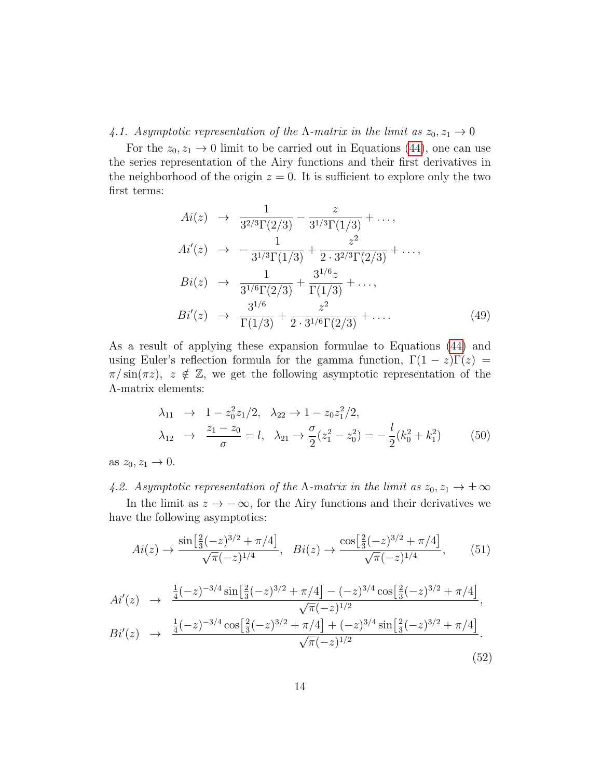4.1. Asymptotic representation of the Λ-matrix in the limit as  $z_0, z_1 \to 0$ 

For the  $z_0, z_1 \to 0$  limit to be carried out in Equations [\(44\)](#page-12-1), one can use the series representation of the Airy functions and their first derivatives in the neighborhood of the origin  $z = 0$ . It is sufficient to explore only the two first terms:

$$
Ai(z) \rightarrow \frac{1}{3^{2/3}\Gamma(2/3)} - \frac{z}{3^{1/3}\Gamma(1/3)} + \dots,
$$
  
\n
$$
Ai'(z) \rightarrow -\frac{1}{3^{1/3}\Gamma(1/3)} + \frac{z^2}{2 \cdot 3^{2/3}\Gamma(2/3)} + \dots,
$$
  
\n
$$
Bi(z) \rightarrow \frac{1}{3^{1/6}\Gamma(2/3)} + \frac{3^{1/6}z}{\Gamma(1/3)} + \dots,
$$
  
\n
$$
Bi'(z) \rightarrow \frac{3^{1/6}}{\Gamma(1/3)} + \frac{z^2}{2 \cdot 3^{1/6}\Gamma(2/3)} + \dots
$$
 (49)

As a result of applying these expansion formulae to Equations [\(44\)](#page-12-1) and using Euler's reflection formula for the gamma function,  $\Gamma(1-z)\Gamma(z) =$  $\pi/\sin(\pi z)$ ,  $z \notin \mathbb{Z}$ , we get the following asymptotic representation of the Λ-matrix elements:

<span id="page-13-0"></span>
$$
\lambda_{11} \rightarrow 1 - z_0^2 z_1 / 2, \quad \lambda_{22} \rightarrow 1 - z_0 z_1^2 / 2, \n\lambda_{12} \rightarrow \frac{z_1 - z_0}{\sigma} = l, \quad \lambda_{21} \rightarrow \frac{\sigma}{2} (z_1^2 - z_0^2) = -\frac{l}{2} (k_0^2 + k_1^2)
$$
\n(50)

as  $z_0, z_1 \to 0$ .

4.2. Asymptotic representation of the Λ-matrix in the limit as  $z_0, z_1 \to \pm \infty$ 

In the limit as  $z \to -\infty$ , for the Airy functions and their derivatives we have the following asymptotics:

$$
Ai(z) \to \frac{\sin\left[\frac{2}{3}(-z)^{3/2} + \pi/4\right]}{\sqrt{\pi}(-z)^{1/4}}, \quad Bi(z) \to \frac{\cos\left[\frac{2}{3}(-z)^{3/2} + \pi/4\right]}{\sqrt{\pi}(-z)^{1/4}},\tag{51}
$$

$$
Ai'(z) \rightarrow \frac{\frac{1}{4}(-z)^{-3/4}\sin\left[\frac{2}{3}(-z)^{3/2} + \pi/4\right] - (-z)^{3/4}\cos\left[\frac{2}{3}(-z)^{3/2} + \pi/4\right]}{\sqrt{\pi}(-z)^{1/2}},
$$
  
\n
$$
Bi'(z) \rightarrow \frac{\frac{1}{4}(-z)^{-3/4}\cos\left[\frac{2}{3}(-z)^{3/2} + \pi/4\right] + (-z)^{3/4}\sin\left[\frac{2}{3}(-z)^{3/2} + \pi/4\right]}{\sqrt{\pi}(-z)^{1/2}}.
$$
\n(52)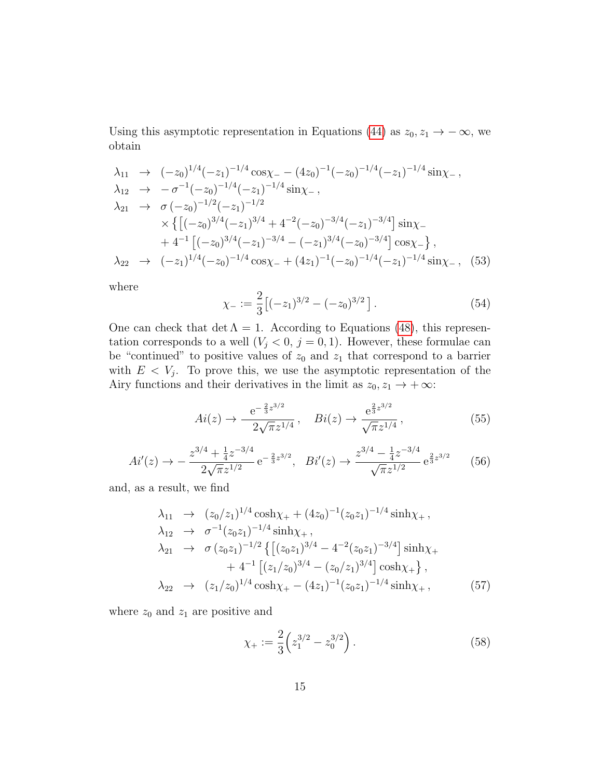Using this asymptotic representation in Equations [\(44\)](#page-12-1) as  $z_0, z_1 \to -\infty$ , we obtain

<span id="page-14-2"></span>
$$
\lambda_{11} \rightarrow (-z_0)^{1/4}(-z_1)^{-1/4}\cos\chi_{-} - (4z_0)^{-1}(-z_0)^{-1/4}(-z_1)^{-1/4}\sin\chi_{-},
$$
  
\n
$$
\lambda_{12} \rightarrow -\sigma^{-1}(-z_0)^{-1/4}(-z_1)^{-1/4}\sin\chi_{-},
$$
  
\n
$$
\lambda_{21} \rightarrow \sigma(-z_0)^{-1/2}(-z_1)^{-1/2}
$$
  
\n
$$
\times \left\{ [(-z_0)^{3/4}(-z_1)^{3/4} + 4^{-2}(-z_0)^{-3/4}(-z_1)^{-3/4}] \sin\chi_{-} + 4^{-1} \left[ (-z_0)^{3/4}(-z_1)^{-3/4} - (-z_1)^{3/4}(-z_0)^{-3/4} \right] \cos\chi_{-} \right\},
$$
  
\n
$$
\lambda_{22} \rightarrow (-z_1)^{1/4}(-z_0)^{-1/4}\cos\chi_{-} + (4z_1)^{-1}(-z_0)^{-1/4}(-z_1)^{-1/4}\sin\chi_{-},
$$
 (53)

where

<span id="page-14-3"></span>
$$
\chi_{-} := \frac{2}{3} \left[ (-z_1)^{3/2} - (-z_0)^{3/2} \right]. \tag{54}
$$

One can check that det  $\Lambda = 1$ . According to Equations [\(48\)](#page-12-2), this representation corresponds to a well  $(V_j < 0, j = 0, 1)$ . However, these formulae can be "continued" to positive values of  $z_0$  and  $z_1$  that correspond to a barrier with  $E < V_j$ . To prove this, we use the asymptotic representation of the Airy functions and their derivatives in the limit as  $z_0, z_1 \to +\infty$ :

$$
Ai(z) \to \frac{e^{-\frac{2}{3}z^{3/2}}}{2\sqrt{\pi}z^{1/4}}, \quad Bi(z) \to \frac{e^{\frac{2}{3}z^{3/2}}}{\sqrt{\pi}z^{1/4}},
$$
 (55)

$$
Ai'(z) \to -\frac{z^{3/4} + \frac{1}{4}z^{-3/4}}{2\sqrt{\pi}z^{1/2}} e^{-\frac{2}{3}z^{3/2}}, \quad Bi'(z) \to \frac{z^{3/4} - \frac{1}{4}z^{-3/4}}{\sqrt{\pi}z^{1/2}} e^{\frac{2}{3}z^{3/2}} \tag{56}
$$

and, as a result, we find

<span id="page-14-0"></span>
$$
\lambda_{11} \rightarrow (z_0/z_1)^{1/4} \cosh \chi_+ + (4z_0)^{-1} (z_0 z_1)^{-1/4} \sinh \chi_+,
$$
  
\n
$$
\lambda_{12} \rightarrow \sigma^{-1} (z_0 z_1)^{-1/4} \sinh \chi_+,
$$
  
\n
$$
\lambda_{21} \rightarrow \sigma (z_0 z_1)^{-1/2} \{ [(z_0 z_1)^{3/4} - 4^{-2} (z_0 z_1)^{-3/4}] \sinh \chi_+ + 4^{-1} [(z_1/z_0)^{3/4} - (z_0/z_1)^{3/4}] \cosh \chi_+ \},
$$
  
\n
$$
\lambda_{22} \rightarrow (z_1/z_0)^{1/4} \cosh \chi_+ - (4z_1)^{-1} (z_0 z_1)^{-1/4} \sinh \chi_+,
$$
 (57)

where  $z_0$  and  $z_1$  are positive and

<span id="page-14-1"></span>
$$
\chi_{+} := \frac{2}{3} \left( z_1^{3/2} - z_0^{3/2} \right). \tag{58}
$$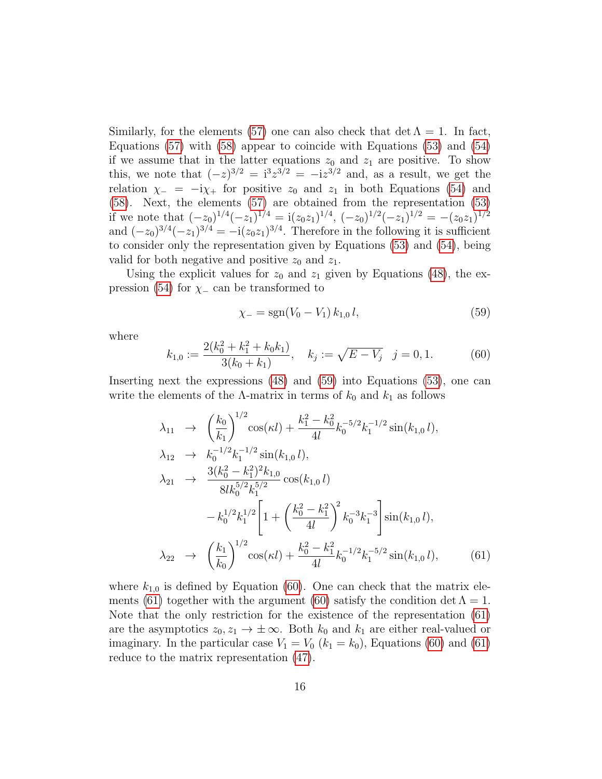Similarly, for the elements [\(57\)](#page-14-0) one can also check that det  $\Lambda = 1$ . In fact, Equations [\(57\)](#page-14-0) with [\(58\)](#page-14-1) appear to coincide with Equations [\(53\)](#page-14-2) and [\(54\)](#page-14-3) if we assume that in the latter equations  $z_0$  and  $z_1$  are positive. To show this, we note that  $(-z)^{3/2} = i^3 z^{3/2} = -i z^{3/2}$  and, as a result, we get the relation  $\chi$ - = −i $\chi$ + for positive  $z_0$  and  $z_1$  in both Equations [\(54\)](#page-14-3) and [\(58\)](#page-14-1). Next, the elements [\(57\)](#page-14-0) are obtained from the representation [\(53\)](#page-14-2) if we note that  $(-z_0)^{1/4}(-z_1)^{1/4} = i(z_0z_1)^{1/4}, (-z_0)^{1/2}(-z_1)^{1/2} = -(z_0z_1)^{1/2}$ and  $(-z_0)^{3/4}(-z_1)^{3/4} = -i(z_0z_1)^{3/4}$ . Therefore in the following it is sufficient to consider only the representation given by Equations [\(53\)](#page-14-2) and [\(54\)](#page-14-3), being valid for both negative and positive  $z_0$  and  $z_1$ .

Using the explicit values for  $z_0$  and  $z_1$  given by Equations [\(48\)](#page-12-2), the ex-pression [\(54\)](#page-14-3) for  $\chi$ <sub>−</sub> can be transformed to

<span id="page-15-0"></span>
$$
\chi_{-} = \text{sgn}(V_0 - V_1) k_{1,0} l,\tag{59}
$$

where

<span id="page-15-1"></span>
$$
k_{1,0} := \frac{2(k_0^2 + k_1^2 + k_0 k_1)}{3(k_0 + k_1)}, \quad k_j := \sqrt{E - V_j} \quad j = 0, 1.
$$
 (60)

Inserting next the expressions [\(48\)](#page-12-2) and [\(59\)](#page-15-0) into Equations [\(53\)](#page-14-2), one can write the elements of the  $\Lambda$ -matrix in terms of  $k_0$  and  $k_1$  as follows

<span id="page-15-2"></span>
$$
\lambda_{11} \rightarrow \left(\frac{k_0}{k_1}\right)^{1/2} \cos(\kappa l) + \frac{k_1^2 - k_0^2}{4l} k_0^{-5/2} k_1^{-1/2} \sin(k_{1,0} l),
$$
\n
$$
\lambda_{12} \rightarrow k_0^{-1/2} k_1^{-1/2} \sin(k_{1,0} l),
$$
\n
$$
\lambda_{21} \rightarrow \frac{3(k_0^2 - k_1^2)^2 k_{1,0}}{8lk_0^{5/2} k_1^{5/2}} \cos(k_{1,0} l)
$$
\n
$$
- k_0^{1/2} k_1^{1/2} \left[1 + \left(\frac{k_0^2 - k_1^2}{4l}\right)^2 k_0^{-3} k_1^{-3}\right] \sin(k_{1,0} l),
$$
\n
$$
\lambda_{22} \rightarrow \left(\frac{k_1}{k_0}\right)^{1/2} \cos(\kappa l) + \frac{k_0^2 - k_1^2}{4l} k_0^{-1/2} k_1^{-5/2} \sin(k_{1,0} l),
$$
\n(61)

where  $k_{1,0}$  is defined by Equation [\(60\)](#page-15-1). One can check that the matrix ele-ments [\(61\)](#page-15-2) together with the argument [\(60\)](#page-15-1) satisfy the condition det  $\Lambda = 1$ . Note that the only restriction for the existence of the representation [\(61\)](#page-15-2) are the asymptotics  $z_0, z_1 \to \pm \infty$ . Both  $k_0$  and  $k_1$  are either real-valued or imaginary. In the particular case  $V_1 = V_0$   $(k_1 = k_0)$ , Equations [\(60\)](#page-15-1) and [\(61\)](#page-15-2) reduce to the matrix representation [\(47\)](#page-12-3).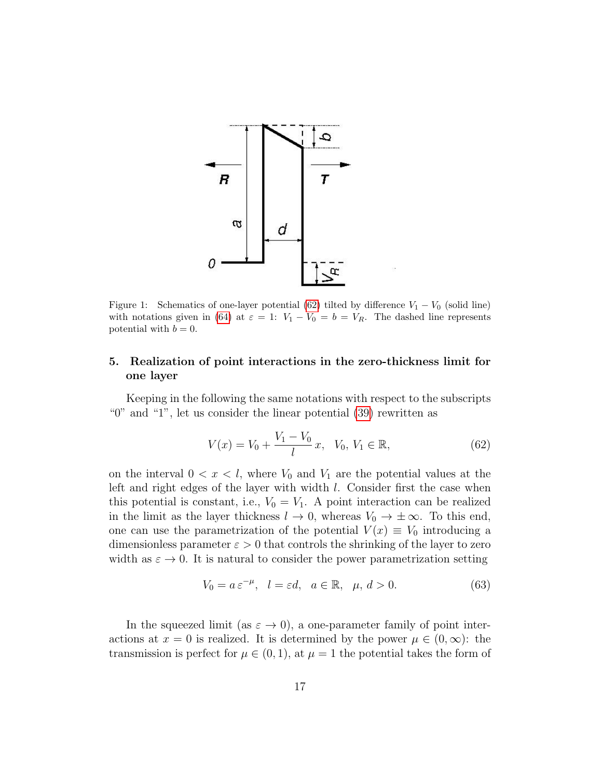

<span id="page-16-1"></span>Figure 1: Schematics of one-layer potential [\(62\)](#page-16-0) tilted by difference  $V_1 - V_0$  (solid line) with notations given in [\(64\)](#page-17-0) at  $\varepsilon = 1$ :  $V_1 - V_0 = b = V_R$ . The dashed line represents potential with  $b = 0$ .

## 5. Realization of point interactions in the zero-thickness limit for one layer

Keeping in the following the same notations with respect to the subscripts "0" and "1", let us consider the linear potential [\(39\)](#page-11-4) rewritten as

<span id="page-16-0"></span>
$$
V(x) = V_0 + \frac{V_1 - V_0}{l} x, \quad V_0, V_1 \in \mathbb{R},
$$
\n(62)

on the interval  $0 < x < l$ , where  $V_0$  and  $V_1$  are the potential values at the left and right edges of the layer with width l. Consider first the case when this potential is constant, i.e.,  $V_0 = V_1$ . A point interaction can be realized in the limit as the layer thickness  $l \to 0$ , whereas  $V_0 \to \pm \infty$ . To this end, one can use the parametrization of the potential  $V(x) \equiv V_0$  introducing a dimensionless parameter  $\varepsilon > 0$  that controls the shrinking of the layer to zero width as  $\varepsilon \to 0$ . It is natural to consider the power parametrization setting

$$
V_0 = a \,\varepsilon^{-\mu}, \quad l = \varepsilon d, \quad a \in \mathbb{R}, \quad \mu, d > 0. \tag{63}
$$

In the squeezed limit (as  $\varepsilon \to 0$ ), a one-parameter family of point interactions at  $x = 0$  is realized. It is determined by the power  $\mu \in (0, \infty)$ : the transmission is perfect for  $\mu \in (0,1)$ , at  $\mu = 1$  the potential takes the form of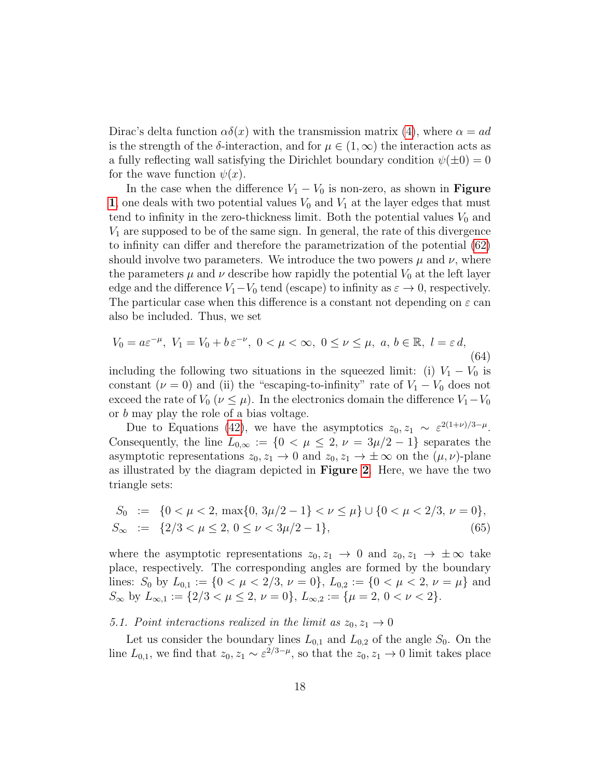Dirac's delta function  $\alpha\delta(x)$  with the transmission matrix [\(4\)](#page-2-1), where  $\alpha = ad$ is the strength of the  $\delta$ -interaction, and for  $\mu \in (1,\infty)$  the interaction acts as a fully reflecting wall satisfying the Dirichlet boundary condition  $\psi(\pm 0) = 0$ for the wave function  $\psi(x)$ .

In the case when the difference  $V_1 - V_0$  is non-zero, as shown in **Figure** [1](#page-16-1), one deals with two potential values  $V_0$  and  $V_1$  at the layer edges that must tend to infinity in the zero-thickness limit. Both the potential values  $V_0$  and  $V_1$  are supposed to be of the same sign. In general, the rate of this divergence to infinity can differ and therefore the parametrization of the potential [\(62\)](#page-16-0) should involve two parameters. We introduce the two powers  $\mu$  and  $\nu$ , where the parameters  $\mu$  and  $\nu$  describe how rapidly the potential  $V_0$  at the left layer edge and the difference  $V_1 - V_0$  tend (escape) to infinity as  $\varepsilon \to 0$ , respectively. The particular case when this difference is a constant not depending on  $\varepsilon$  can also be included. Thus, we set

<span id="page-17-0"></span>
$$
V_0 = a\varepsilon^{-\mu}, V_1 = V_0 + b\varepsilon^{-\nu}, 0 < \mu < \infty, 0 \le \nu \le \mu, a, b \in \mathbb{R}, l = \varepsilon d,
$$
\n(64)

including the following two situations in the squeezed limit: (i)  $V_1 - V_0$  is constant ( $\nu = 0$ ) and (ii) the "escaping-to-infinity" rate of  $V_1 - V_0$  does not exceed the rate of  $V_0$  ( $\nu \leq \mu$ ). In the electronics domain the difference  $V_1 - V_0$ or b may play the role of a bias voltage.

Due to Equations [\(42\)](#page-11-2), we have the asymptotics  $z_0, z_1 \sim \varepsilon^{2(1+\nu)/3-\mu}$ . Consequently, the line  $L_{0,\infty} := \{0 \le \mu \le 2, \nu = 3\mu/2 - 1\}$  separates the asymptotic representations  $z_0, z_1 \to 0$  and  $z_0, z_1 \to \pm \infty$  on the  $(\mu, \nu)$ -plane as illustrated by the diagram depicted in Figure [2](#page-18-0). Here, we have the two triangle sets:

$$
S_0 := \{0 < \mu < 2, \max\{0, 3\mu/2 - 1\} < \nu \le \mu\} \cup \{0 < \mu < 2/3, \nu = 0\},
$$
  
\n
$$
S_{\infty} := \{2/3 < \mu \le 2, 0 \le \nu < 3\mu/2 - 1\},
$$
\n(65)

where the asymptotic representations  $z_0, z_1 \rightarrow 0$  and  $z_0, z_1 \rightarrow \pm \infty$  take place, respectively. The corresponding angles are formed by the boundary lines:  $S_0$  by  $L_{0,1} := \{0 < \mu < 2/3, \nu = 0\}, L_{0,2} := \{0 < \mu < 2, \nu = \mu\}$  and  $S_{\infty}$  by  $L_{\infty,1} := \{2/3 < \mu \leq 2, \nu = 0\}, L_{\infty,2} := \{\mu = 2, 0 < \nu < 2\}.$ 

5.1. Point interactions realized in the limit as  $z_0, z_1 \rightarrow 0$ 

Let us consider the boundary lines  $L_{0,1}$  and  $L_{0,2}$  of the angle  $S_0$ . On the line  $L_{0,1}$ , we find that  $z_0, z_1 \sim \varepsilon^{2/3-\mu}$ , so that the  $z_0, z_1 \to 0$  limit takes place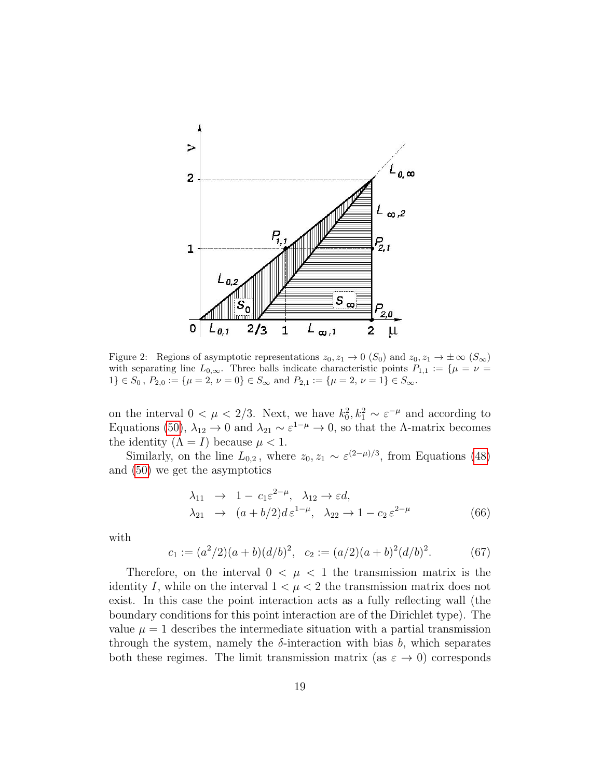

<span id="page-18-0"></span>Figure 2: Regions of asymptotic representations  $z_0, z_1 \to 0$   $(S_0)$  and  $z_0, z_1 \to \pm \infty$   $(S_{\infty})$ with separating line  $L_{0,\infty}$ . Three balls indicate characteristic points  $P_{1,1} := \{ \mu = \nu =$  $1\} \in S_0$ ,  $P_{2,0} := {\mu = 2, \nu = 0} \in S_{\infty}$  and  $P_{2,1} := {\mu = 2, \nu = 1} \in S_{\infty}$ .

on the interval  $0 < \mu < 2/3$ . Next, we have  $k_0^2, k_1^2 \sim \varepsilon^{-\mu}$  and according to Equations [\(50\)](#page-13-0),  $\lambda_{12} \to 0$  and  $\lambda_{21} \sim \varepsilon^{1-\mu} \to 0$ , so that the  $\Lambda$ -matrix becomes the identity  $(\Lambda = I)$  because  $\mu < 1$ .

Similarly, on the line  $L_{0,2}$ , where  $z_0, z_1 \sim \varepsilon^{(2-\mu)/3}$ , from Equations [\(48\)](#page-12-2) and [\(50\)](#page-13-0) we get the asymptotics

<span id="page-18-1"></span>
$$
\lambda_{11} \rightarrow 1 - c_1 \varepsilon^{2-\mu}, \quad \lambda_{12} \rightarrow \varepsilon d, \n\lambda_{21} \rightarrow (a+b/2) d \varepsilon^{1-\mu}, \quad \lambda_{22} \rightarrow 1 - c_2 \varepsilon^{2-\mu}
$$
\n(66)

with

<span id="page-18-2"></span>
$$
c_1 := (a^2/2)(a+b)(d/b)^2, \quad c_2 := (a/2)(a+b)^2(d/b)^2. \tag{67}
$$

Therefore, on the interval  $0 < \mu < 1$  the transmission matrix is the identity I, while on the interval  $1 < \mu < 2$  the transmission matrix does not exist. In this case the point interaction acts as a fully reflecting wall (the boundary conditions for this point interaction are of the Dirichlet type). The value  $\mu = 1$  describes the intermediate situation with a partial transmission through the system, namely the  $\delta$ -interaction with bias b, which separates both these regimes. The limit transmission matrix (as  $\varepsilon \to 0$ ) corresponds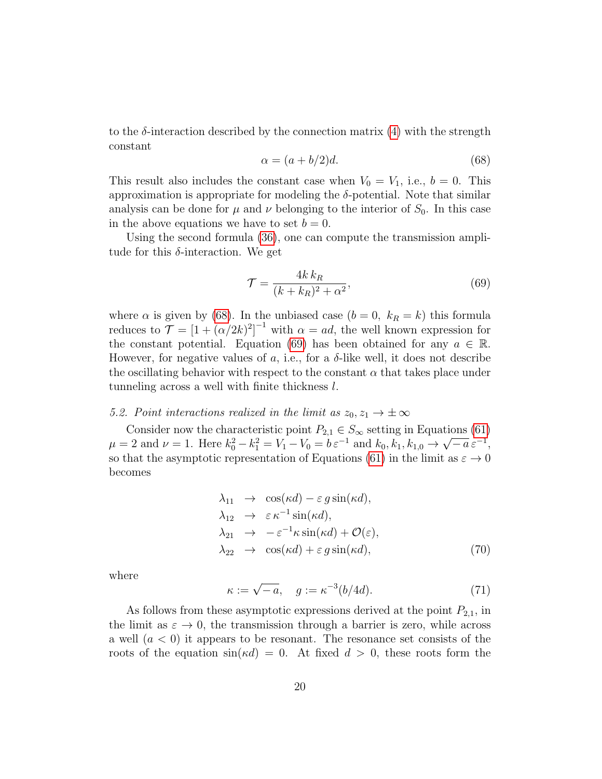to the  $\delta$ -interaction described by the connection matrix [\(4\)](#page-2-1) with the strength constant

<span id="page-19-0"></span>
$$
\alpha = (a + b/2)d.\tag{68}
$$

This result also includes the constant case when  $V_0 = V_1$ , i.e.,  $b = 0$ . This approximation is appropriate for modeling the  $\delta$ -potential. Note that similar analysis can be done for  $\mu$  and  $\nu$  belonging to the interior of  $S_0$ . In this case in the above equations we have to set  $b = 0$ .

Using the second formula [\(36\)](#page-10-4), one can compute the transmission amplitude for this  $\delta$ -interaction. We get

<span id="page-19-1"></span>
$$
\mathcal{T} = \frac{4k k_R}{(k + k_R)^2 + \alpha^2},\tag{69}
$$

where  $\alpha$  is given by [\(68\)](#page-19-0). In the unbiased case ( $b = 0, k_R = k$ ) this formula reduces to  $\mathcal{T} = [1 + (\alpha/2k)^2]^{-1}$  with  $\alpha = ad$ , the well known expression for the constant potential. Equation [\(69\)](#page-19-1) has been obtained for any  $a \in \mathbb{R}$ . However, for negative values of a, i.e., for a  $\delta$ -like well, it does not describe the oscillating behavior with respect to the constant  $\alpha$  that takes place under tunneling across a well with finite thickness l.

### 5.2. Point interactions realized in the limit as  $z_0, z_1 \to \pm \infty$

Consider now the characteristic point  $P_{2,1} \in S_{\infty}$  setting in Equations [\(61\)](#page-15-2)  $\mu = 2$  and  $\nu = 1$ . Here  $k_0^2 - k_1^2 = V_1 - V_0 = b \varepsilon^{-1}$  and  $k_0, k_1, k_{1,0} \to \sqrt{-a} \varepsilon^{-1}$ , so that the asymptotic representation of Equations [\(61\)](#page-15-2) in the limit as  $\varepsilon \to 0$ becomes

<span id="page-19-2"></span>
$$
\lambda_{11} \rightarrow \cos(\kappa d) - \varepsilon g \sin(\kappa d),
$$
  
\n
$$
\lambda_{12} \rightarrow \varepsilon \kappa^{-1} \sin(\kappa d),
$$
  
\n
$$
\lambda_{21} \rightarrow -\varepsilon^{-1} \kappa \sin(\kappa d) + \mathcal{O}(\varepsilon),
$$
  
\n
$$
\lambda_{22} \rightarrow \cos(\kappa d) + \varepsilon g \sin(\kappa d),
$$
\n(70)

where

<span id="page-19-3"></span>
$$
\kappa := \sqrt{-a}, \quad g := \kappa^{-3}(b/4d). \tag{71}
$$

As follows from these asymptotic expressions derived at the point  $P_{2,1}$ , in the limit as  $\varepsilon \to 0$ , the transmission through a barrier is zero, while across a well  $(a < 0)$  it appears to be resonant. The resonance set consists of the roots of the equation  $sin(\kappa d) = 0$ . At fixed  $d > 0$ , these roots form the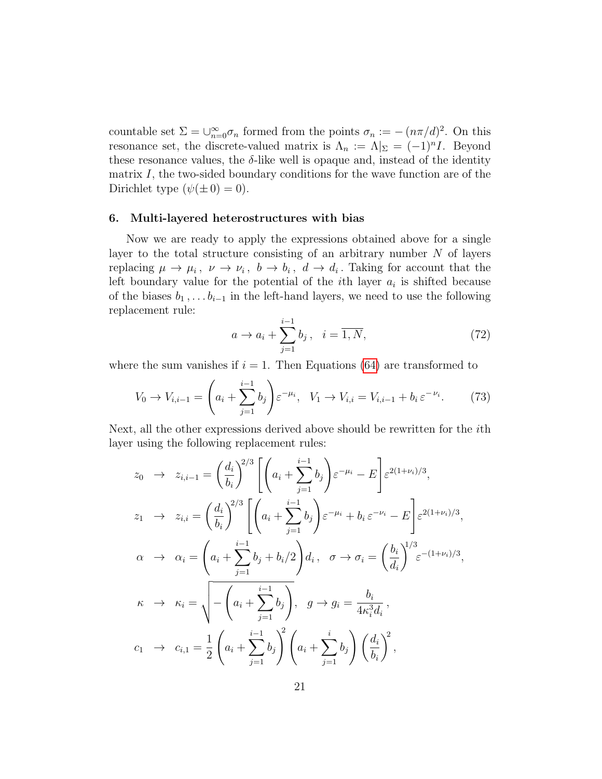countable set  $\Sigma = \bigcup_{n=0}^{\infty} \sigma_n$  formed from the points  $\sigma_n := -(n\pi/d)^2$ . On this resonance set, the discrete-valued matrix is  $\Lambda_n := \Lambda|_{\Sigma} = (-1)^n I$ . Beyond these resonance values, the  $\delta$ -like well is opaque and, instead of the identity matrix  $I$ , the two-sided boundary conditions for the wave function are of the Dirichlet type  $(\psi(\pm 0) = 0)$ .

### 6. Multi-layered heterostructures with bias

Now we are ready to apply the expressions obtained above for a single layer to the total structure consisting of an arbitrary number  $N$  of layers replacing  $\mu \to \mu_i$ ,  $\nu \to \nu_i$ ,  $b \to b_i$ ,  $d \to d_i$ . Taking for account that the left boundary value for the potential of the *i*th layer  $a_i$  is shifted because of the biases  $b_1$ , ...  $b_{i-1}$  in the left-hand layers, we need to use the following replacement rule:

<span id="page-20-0"></span>
$$
a \to a_i + \sum_{j=1}^{i-1} b_j \,, \quad i = \overline{1, N}, \tag{72}
$$

where the sum vanishes if  $i = 1$ . Then Equations [\(64\)](#page-17-0) are transformed to

<span id="page-20-1"></span>
$$
V_0 \to V_{i,i-1} = \left( a_i + \sum_{j=1}^{i-1} b_j \right) \varepsilon^{-\mu_i}, \quad V_1 \to V_{i,i} = V_{i,i-1} + b_i \varepsilon^{-\nu_i}.
$$
 (73)

Next, all the other expressions derived above should be rewritten for the *i*th layer using the following replacement rules:

<span id="page-20-2"></span>
$$
z_0 \rightarrow z_{i,i-1} = \left(\frac{d_i}{b_i}\right)^{2/3} \left[ \left(a_i + \sum_{j=1}^{i-1} b_j\right) \varepsilon^{-\mu_i} - E \right] \varepsilon^{2(1+\nu_i)/3},
$$
  
\n
$$
z_1 \rightarrow z_{i,i} = \left(\frac{d_i}{b_i}\right)^{2/3} \left[ \left(a_i + \sum_{j=1}^{i-1} b_j\right) \varepsilon^{-\mu_i} + b_i \varepsilon^{-\nu_i} - E \right] \varepsilon^{2(1+\nu_i)/3},
$$
  
\n
$$
\alpha \rightarrow \alpha_i = \left(a_i + \sum_{j=1}^{i-1} b_j + b_i/2\right) d_i, \quad \sigma \rightarrow \sigma_i = \left(\frac{b_i}{d_i}\right)^{1/3} \varepsilon^{-(1+\nu_i)/3},
$$
  
\n
$$
\kappa \rightarrow \kappa_i = \sqrt{-\left(a_i + \sum_{j=1}^{i-1} b_j\right)}, \quad g \rightarrow g_i = \frac{b_i}{4\kappa_i^3 d_i},
$$
  
\n
$$
c_1 \rightarrow c_{i,1} = \frac{1}{2} \left(a_i + \sum_{j=1}^{i-1} b_j\right)^2 \left(a_i + \sum_{j=1}^{i} b_j\right) \left(\frac{d_i}{b_i}\right)^2,
$$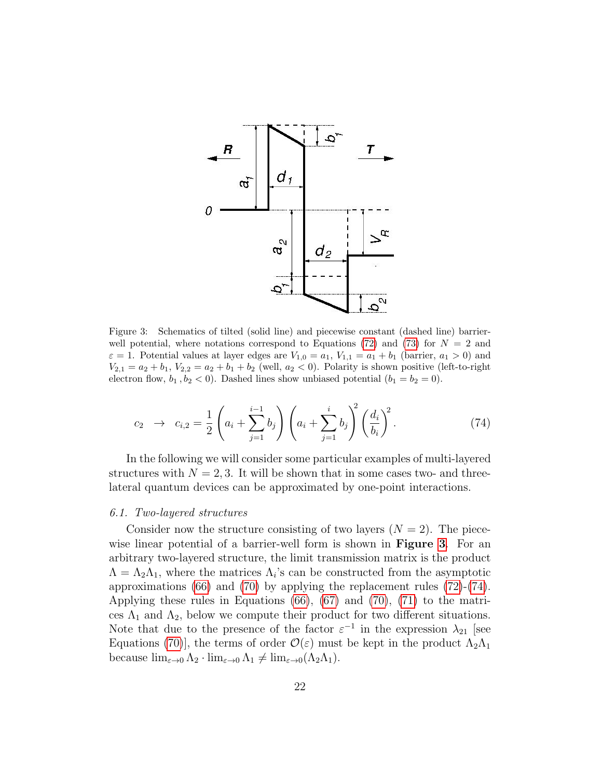

<span id="page-21-0"></span>Figure 3: Schematics of tilted (solid line) and piecewise constant (dashed line) barrier-well potential, where notations correspond to Equations [\(72\)](#page-20-0) and [\(73\)](#page-20-1) for  $N = 2$  and  $\varepsilon = 1$ . Potential values at layer edges are  $V_{1,0} = a_1, V_{1,1} = a_1 + b_1$  (barrier,  $a_1 > 0$ ) and  $V_{2,1} = a_2 + b_1, V_{2,2} = a_2 + b_1 + b_2$  (well,  $a_2 < 0$ ). Polarity is shown positive (left-to-right electron flow,  $b_1$ ,  $b_2 < 0$ ). Dashed lines show unbiased potential  $(b_1 = b_2 = 0)$ .

$$
c_2 \rightarrow c_{i,2} = \frac{1}{2} \left( a_i + \sum_{j=1}^{i-1} b_j \right) \left( a_i + \sum_{j=1}^{i} b_j \right)^2 \left( \frac{d_i}{b_i} \right)^2.
$$
 (74)

In the following we will consider some particular examples of multi-layered structures with  $N = 2, 3$ . It will be shown that in some cases two- and threelateral quantum devices can be approximated by one-point interactions.

#### 6.1. Two-layered structures

Consider now the structure consisting of two layers  $(N = 2)$ . The piecewise linear potential of a barrier-well form is shown in **Figure [3](#page-21-0)**. For an arbitrary two-layered structure, the limit transmission matrix is the product  $\Lambda = \Lambda_2 \Lambda_1$ , where the matrices  $\Lambda_i$ 's can be constructed from the asymptotic approximations [\(66\)](#page-18-1) and [\(70\)](#page-19-2) by applying the replacement rules [\(72\)](#page-20-0)-[\(74\)](#page-20-2). Applying these rules in Equations [\(66\)](#page-18-1), [\(67\)](#page-18-2) and [\(70\)](#page-19-2), [\(71\)](#page-19-3) to the matrices  $\Lambda_1$  and  $\Lambda_2$ , below we compute their product for two different situations. Note that due to the presence of the factor  $\varepsilon^{-1}$  in the expression  $\lambda_{21}$  [see Equations [\(70\)](#page-19-2)], the terms of order  $\mathcal{O}(\varepsilon)$  must be kept in the product  $\Lambda_2\Lambda_1$ because  $\lim_{\varepsilon\to 0} \Lambda_2 \cdot \lim_{\varepsilon\to 0} \Lambda_1 \neq \lim_{\varepsilon\to 0} (\Lambda_2 \Lambda_1)$ .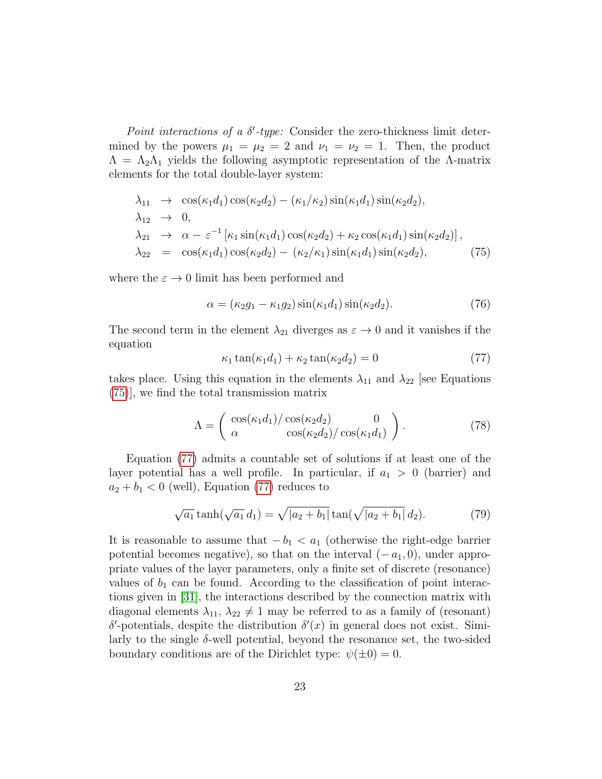Point interactions of a  $\delta'$ -type: Consider the zero-thickness limit determined by the powers  $\mu_1 = \mu_2 = 2$  and  $\nu_1 = \nu_2 = 1$ . Then, the product  $\Lambda = \Lambda_2 \Lambda_1$  yields the following asymptotic representation of the Λ-matrix elements for the total double-layer system:

<span id="page-22-0"></span>
$$
\lambda_{11} \rightarrow \cos(\kappa_1 d_1) \cos(\kappa_2 d_2) - (\kappa_1/\kappa_2) \sin(\kappa_1 d_1) \sin(\kappa_2 d_2),
$$
  
\n
$$
\lambda_{12} \rightarrow 0,
$$
  
\n
$$
\lambda_{21} \rightarrow \alpha - \varepsilon^{-1} [\kappa_1 \sin(\kappa_1 d_1) \cos(\kappa_2 d_2) + \kappa_2 \cos(\kappa_1 d_1) \sin(\kappa_2 d_2)],
$$
  
\n
$$
\lambda_{22} = \cos(\kappa_1 d_1) \cos(\kappa_2 d_2) - (\kappa_2/\kappa_1) \sin(\kappa_1 d_1) \sin(\kappa_2 d_2),
$$
\n(75)

where the  $\varepsilon \to 0$  limit has been performed and

<span id="page-22-3"></span>
$$
\alpha = (\kappa_2 g_1 - \kappa_1 g_2) \sin(\kappa_1 d_1) \sin(\kappa_2 d_2). \tag{76}
$$

The second term in the element  $\lambda_{21}$  diverges as  $\varepsilon \to 0$  and it vanishes if the equation

<span id="page-22-1"></span>
$$
\kappa_1 \tan(\kappa_1 d_1) + \kappa_2 \tan(\kappa_2 d_2) = 0 \tag{77}
$$

takes place. Using this equation in the elements  $\lambda_{11}$  and  $\lambda_{22}$  [see Equations [\(75\)](#page-22-0)], we find the total transmission matrix

<span id="page-22-2"></span>
$$
\Lambda = \begin{pmatrix} \cos(\kappa_1 d_1) / \cos(\kappa_2 d_2) & 0\\ \alpha & \cos(\kappa_2 d_2) / \cos(\kappa_1 d_1) \end{pmatrix}.
$$
 (78)

Equation [\(77\)](#page-22-1) admits a countable set of solutions if at least one of the layer potential has a well profile. In particular, if  $a_1 > 0$  (barrier) and  $a_2 + b_1 < 0$  (well), Equation [\(77\)](#page-22-1) reduces to

$$
\sqrt{a_1} \tanh(\sqrt{a_1} \, d_1) = \sqrt{|a_2 + b_1|} \tan(\sqrt{|a_2 + b_1|} \, d_2). \tag{79}
$$

It is reasonable to assume that  $-b_1 < a_1$  (otherwise the right-edge barrier potential becomes negative), so that on the interval  $(-a_1, 0)$ , under appropriate values of the layer parameters, only a finite set of discrete (resonance) values of  $b_1$  can be found. According to the classification of point interactions given in [\[31\]](#page-35-3), the interactions described by the connection matrix with diagonal elements  $\lambda_{11}$ ,  $\lambda_{22} \neq 1$  may be referred to as a family of (resonant)  $δ'$ -potentials, despite the distribution  $δ'(x)$  in general does not exist. Similarly to the single  $\delta$ -well potential, beyond the resonance set, the two-sided boundary conditions are of the Dirichlet type:  $\psi(\pm 0) = 0$ .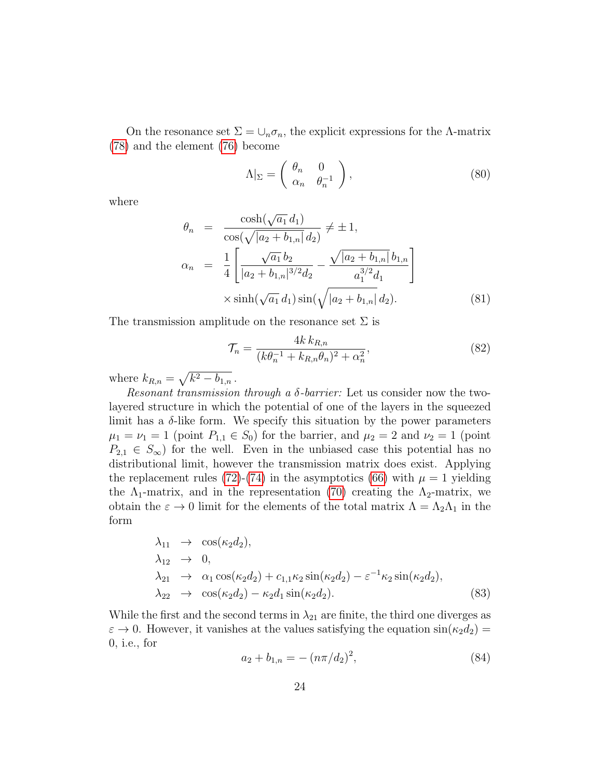On the resonance set  $\Sigma = \bigcup_n \sigma_n$ , the explicit expressions for the A-matrix [\(78\)](#page-22-2) and the element [\(76\)](#page-22-3) become

<span id="page-23-2"></span>
$$
\Lambda|_{\Sigma} = \begin{pmatrix} \theta_n & 0 \\ \alpha_n & \theta_n^{-1} \end{pmatrix},\tag{80}
$$

where

$$
\theta_n = \frac{\cosh(\sqrt{a_1} d_1)}{\cos(\sqrt{|a_2 + b_{1,n}|} d_2)} \neq \pm 1,
$$
  
\n
$$
\alpha_n = \frac{1}{4} \left[ \frac{\sqrt{a_1} b_2}{|a_2 + b_{1,n}|^{3/2} d_2} - \frac{\sqrt{|a_2 + b_{1,n}|} b_{1,n}}{a_1^{3/2} d_1} \right]
$$
  
\n
$$
\times \sinh(\sqrt{a_1} d_1) \sin(\sqrt{|a_2 + b_{1,n}|} d_2).
$$
 (81)

The transmission amplitude on the resonance set  $\Sigma$  is

<span id="page-23-1"></span>
$$
\mathcal{T}_n = \frac{4k k_{R,n}}{(k\theta_n^{-1} + k_{R,n}\theta_n)^2 + \alpha_n^2},\tag{82}
$$

where  $k_{R,n} = \sqrt{k^2 - b_{1,n}}$ .

Resonant transmission through a  $\delta$ -barrier: Let us consider now the twolayered structure in which the potential of one of the layers in the squeezed limit has a  $\delta$ -like form. We specify this situation by the power parameters  $\mu_1 = \nu_1 = 1$  (point  $P_{1,1} \in S_0$ ) for the barrier, and  $\mu_2 = 2$  and  $\nu_2 = 1$  (point  $P_{2,1} \in S_{\infty}$  for the well. Even in the unbiased case this potential has no distributional limit, however the transmission matrix does exist. Applying the replacement rules [\(72\)](#page-20-0)-[\(74\)](#page-20-2) in the asymptotics [\(66\)](#page-18-1) with  $\mu = 1$  yielding the  $\Lambda_1$ -matrix, and in the representation [\(70\)](#page-19-2) creating the  $\Lambda_2$ -matrix, we obtain the  $\varepsilon \to 0$  limit for the elements of the total matrix  $\Lambda = \Lambda_2 \Lambda_1$  in the form

$$
\lambda_{11} \rightarrow \cos(\kappa_2 d_2),
$$
  
\n
$$
\lambda_{12} \rightarrow 0,
$$
  
\n
$$
\lambda_{21} \rightarrow \alpha_1 \cos(\kappa_2 d_2) + c_{1,1} \kappa_2 \sin(\kappa_2 d_2) - \varepsilon^{-1} \kappa_2 \sin(\kappa_2 d_2),
$$
  
\n
$$
\lambda_{22} \rightarrow \cos(\kappa_2 d_2) - \kappa_2 d_1 \sin(\kappa_2 d_2).
$$
\n(83)

While the first and the second terms in  $\lambda_{21}$  are finite, the third one diverges as  $\varepsilon \to 0$ . However, it vanishes at the values satisfying the equation  $\sin(\kappa_2 d_2) =$ 0, i.e., for

<span id="page-23-0"></span>
$$
a_2 + b_{1,n} = -(n\pi/d_2)^2, \tag{84}
$$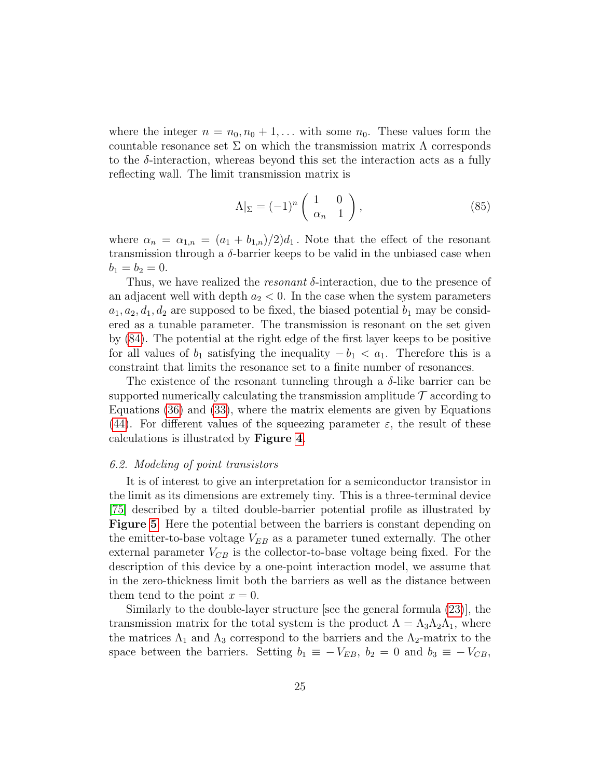where the integer  $n = n_0, n_0 + 1, \ldots$  with some  $n_0$ . These values form the countable resonance set  $\Sigma$  on which the transmission matrix  $\Lambda$  corresponds to the  $\delta$ -interaction, whereas beyond this set the interaction acts as a fully reflecting wall. The limit transmission matrix is

<span id="page-24-0"></span>
$$
\Lambda|_{\Sigma} = (-1)^n \begin{pmatrix} 1 & 0 \\ \alpha_n & 1 \end{pmatrix}, \tag{85}
$$

where  $\alpha_n = \alpha_{1,n} = (a_1 + b_{1,n})/2)d_1$ . Note that the effect of the resonant transmission through a  $\delta$ -barrier keeps to be valid in the unbiased case when  $b_1 = b_2 = 0.$ 

Thus, we have realized the *resonant*  $\delta$ -interaction, due to the presence of an adjacent well with depth  $a_2 < 0$ . In the case when the system parameters  $a_1, a_2, d_1, d_2$  are supposed to be fixed, the biased potential  $b_1$  may be considered as a tunable parameter. The transmission is resonant on the set given by [\(84\)](#page-23-0). The potential at the right edge of the first layer keeps to be positive for all values of  $b_1$  satisfying the inequality  $-b_1 < a_1$ . Therefore this is a constraint that limits the resonance set to a finite number of resonances.

The existence of the resonant tunneling through a  $\delta$ -like barrier can be supported numerically calculating the transmission amplitude  $\tau$  according to Equations [\(36\)](#page-10-4) and [\(33\)](#page-10-2), where the matrix elements are given by Equations [\(44\)](#page-12-1). For different values of the squeezing parameter  $\varepsilon$ , the result of these calculations is illustrated by Figure [4](#page-25-0).

### 6.2. Modeling of point transistors

It is of interest to give an interpretation for a semiconductor transistor in the limit as its dimensions are extremely tiny. This is a three-terminal device [\[75\]](#page-39-10) described by a tilted double-barrier potential profile as illustrated by Figure [5](#page-26-0). Here the potential between the barriers is constant depending on the emitter-to-base voltage  $V_{EB}$  as a parameter tuned externally. The other external parameter  $V_{CB}$  is the collector-to-base voltage being fixed. For the description of this device by a one-point interaction model, we assume that in the zero-thickness limit both the barriers as well as the distance between them tend to the point  $x = 0$ .

Similarly to the double-layer structure [see the general formula [\(23\)](#page-8-1)], the transmission matrix for the total system is the product  $\Lambda = \Lambda_3 \Lambda_2 \Lambda_1$ , where the matrices  $\Lambda_1$  and  $\Lambda_3$  correspond to the barriers and the  $\Lambda_2$ -matrix to the space between the barriers. Setting  $b_1 \equiv -V_{EB}$ ,  $b_2 = 0$  and  $b_3 \equiv -V_{CB}$ ,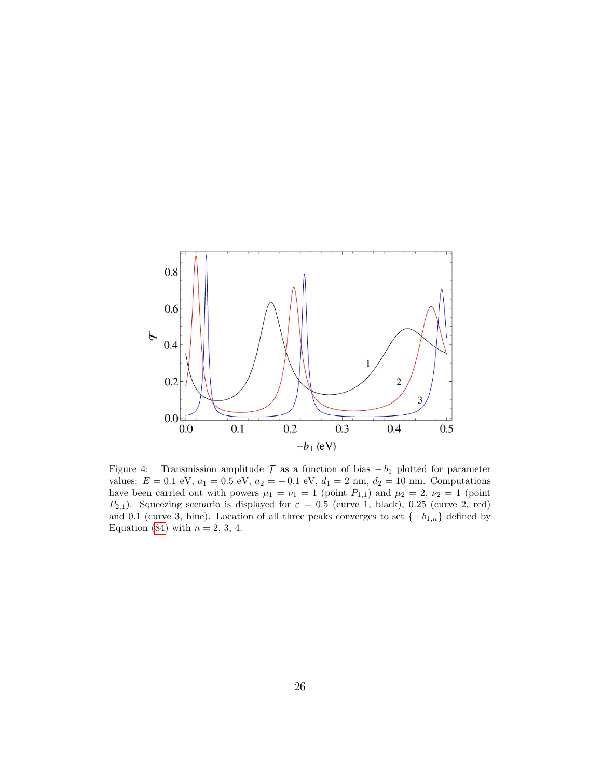

<span id="page-25-0"></span>Figure 4: Transmission amplitude  $\mathcal T$  as a function of bias  $-b_1$  plotted for parameter values:  $E = 0.1$  eV,  $a_1 = 0.5$  eV,  $a_2 = -0.1$  eV,  $d_1 = 2$  nm,  $d_2 = 10$  nm. Computations have been carried out with powers  $\mu_1 = \nu_1 = 1$  (point  $P_{1,1}$ ) and  $\mu_2 = 2$ ,  $\nu_2 = 1$  (point  $P_{2,1}$ ). Squeezing scenario is displayed for  $\varepsilon = 0.5$  (curve 1, black), 0.25 (curve 2, red) and 0.1 (curve 3, blue). Location of all three peaks converges to set  $\{-b_{1,n}\}$  defined by Equation [\(84\)](#page-23-0) with  $n = 2, 3, 4$ .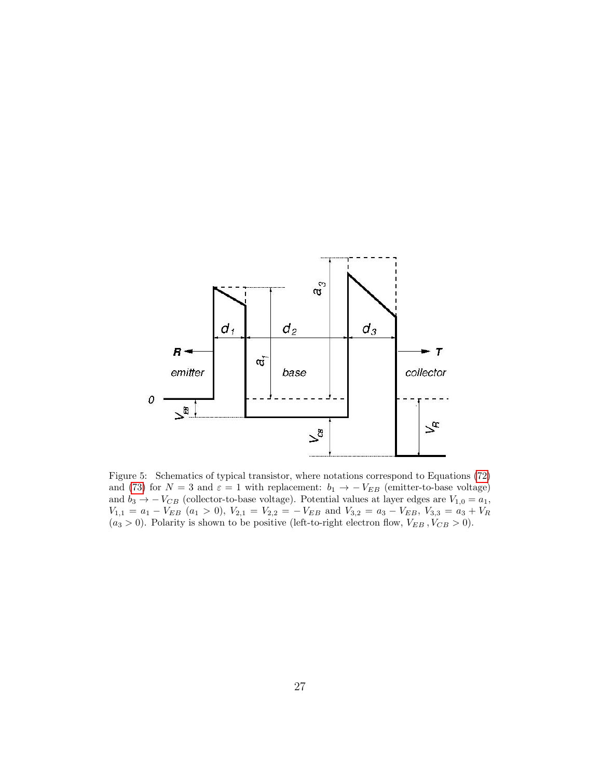

<span id="page-26-0"></span>Figure 5: Schematics of typical transistor, where notations correspond to Equations [\(72\)](#page-20-0) and [\(73\)](#page-20-1) for  $N = 3$  and  $\varepsilon = 1$  with replacement:  $b_1 \rightarrow -V_{EB}$  (emitter-to-base voltage) and  $b_3 \rightarrow -V_{CB}$  (collector-to-base voltage). Potential values at layer edges are  $V_{1,0} = a_1$ ,  $V_{1,1} = a_1 - V_{EB}$   $(a_1 > 0), V_{2,1} = V_{2,2} = -V_{EB}$  and  $V_{3,2} = a_3 - V_{EB}, V_{3,3} = a_3 + V_{RB}$  $(a_3 > 0)$ . Polarity is shown to be positive (left-to-right electron flow,  $V_{EB}$ ,  $V_{CB} > 0$ ).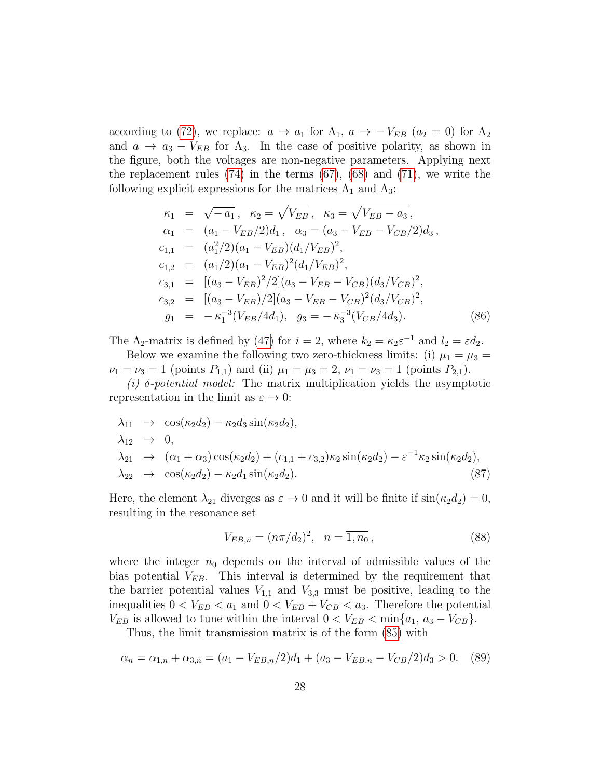according to [\(72\)](#page-20-0), we replace:  $a \to a_1$  for  $\Lambda_1$ ,  $a \to -V_{EB}$  ( $a_2 = 0$ ) for  $\Lambda_2$ and  $a \rightarrow a_3 - V_{EB}$  for  $\Lambda_3$ . In the case of positive polarity, as shown in the figure, both the voltages are non-negative parameters. Applying next the replacement rules  $(74)$  in the terms  $(67)$ ,  $(68)$  and  $(71)$ , we write the following explicit expressions for the matrices  $\Lambda_1$  and  $\Lambda_3$ :

<span id="page-27-1"></span>
$$
\kappa_1 = \sqrt{-a_1}, \quad \kappa_2 = \sqrt{V_{EB}}, \quad \kappa_3 = \sqrt{V_{EB} - a_3},
$$
  
\n
$$
\alpha_1 = (a_1 - V_{EB}/2)d_1, \quad \alpha_3 = (a_3 - V_{EB} - V_{CB}/2)d_3,
$$
  
\n
$$
c_{1,1} = (a_1^2/2)(a_1 - V_{EB})(d_1/V_{EB})^2,
$$
  
\n
$$
c_{1,2} = (a_1/2)(a_1 - V_{EB})^2(d_1/V_{EB})^2,
$$
  
\n
$$
c_{3,1} = [(a_3 - V_{EB})^2/2](a_3 - V_{EB} - V_{CB})(d_3/V_{CB})^2,
$$
  
\n
$$
c_{3,2} = [(a_3 - V_{EB})/2](a_3 - V_{EB} - V_{CB})^2(d_3/V_{CB})^2,
$$
  
\n
$$
g_1 = -\kappa_1^{-3}(V_{EB}/4d_1), \quad g_3 = -\kappa_3^{-3}(V_{CB}/4d_3).
$$
 (86)

The  $\Lambda_2$ -matrix is defined by [\(47\)](#page-12-3) for  $i = 2$ , where  $k_2 = \kappa_2 \varepsilon^{-1}$  and  $l_2 = \varepsilon d_2$ .

Below we examine the following two zero-thickness limits: (i)  $\mu_1 = \mu_3 =$  $\nu_1 = \nu_3 = 1$  (points  $P_{1,1}$ ) and (ii)  $\mu_1 = \mu_3 = 2$ ,  $\nu_1 = \nu_3 = 1$  (points  $P_{2,1}$ ). (i)  $\delta$ -potential model: The matrix multiplication yields the asymptotic

representation in the limit as  $\varepsilon \to 0$ :

$$
\lambda_{11} \rightarrow \cos(\kappa_2 d_2) - \kappa_2 d_3 \sin(\kappa_2 d_2),
$$
  
\n
$$
\lambda_{12} \rightarrow 0,
$$
  
\n
$$
\lambda_{21} \rightarrow (\alpha_1 + \alpha_3) \cos(\kappa_2 d_2) + (c_{1,1} + c_{3,2}) \kappa_2 \sin(\kappa_2 d_2) - \varepsilon^{-1} \kappa_2 \sin(\kappa_2 d_2),
$$
  
\n
$$
\lambda_{22} \rightarrow \cos(\kappa_2 d_2) - \kappa_2 d_1 \sin(\kappa_2 d_2).
$$
 (87)

Here, the element  $\lambda_{21}$  diverges as  $\varepsilon \to 0$  and it will be finite if  $\sin(\kappa_2 d_2) = 0$ , resulting in the resonance set

<span id="page-27-0"></span>
$$
V_{EB,n} = (n\pi/d_2)^2, \quad n = \overline{1, n_0}, \tag{88}
$$

where the integer  $n_0$  depends on the interval of admissible values of the bias potential  $V_{EB}$ . This interval is determined by the requirement that the barrier potential values  $V_{1,1}$  and  $V_{3,3}$  must be positive, leading to the inequalities  $0 < V_{EB} < a_1$  and  $0 < V_{EB} + V_{CB} < a_3$ . Therefore the potential  $V_{EB}$  is allowed to tune within the interval  $0 < V_{EB} < \min\{a_1, a_3 - V_{CB}\}.$ 

Thus, the limit transmission matrix is of the form [\(85\)](#page-24-0) with

$$
\alpha_n = \alpha_{1,n} + \alpha_{3,n} = (a_1 - V_{EB,n}/2)d_1 + (a_3 - V_{EB,n} - V_{CB}/2)d_3 > 0. \tag{89}
$$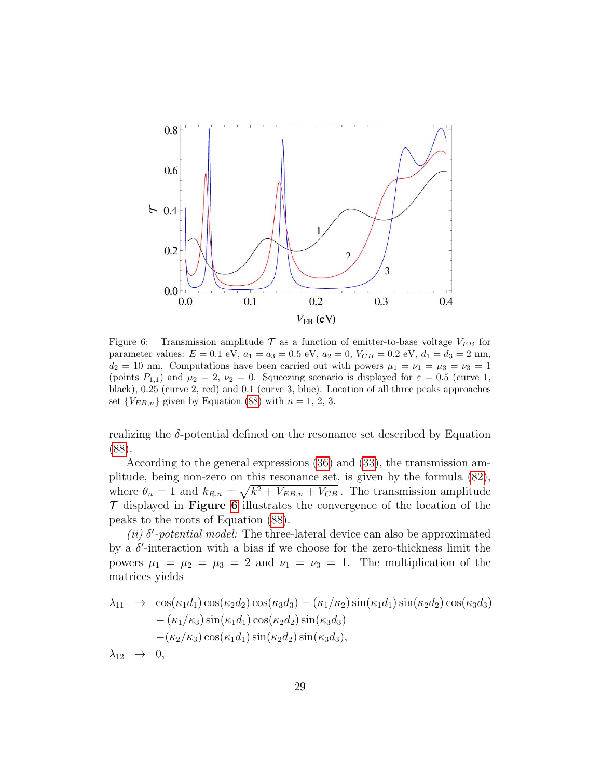

<span id="page-28-0"></span>Figure 6: Transmission amplitude  $\mathcal T$  as a function of emitter-to-base voltage  $V_{EB}$  for parameter values:  $E = 0.1$  eV,  $a_1 = a_3 = 0.5$  eV,  $a_2 = 0$ ,  $V_{CB} = 0.2$  eV,  $d_1 = d_3 = 2$  nm,  $d_2 = 10$  nm. Computations have been carried out with powers  $\mu_1 = \nu_1 = \mu_3 = \nu_3 = 1$ (points  $P_{1,1}$ ) and  $\mu_2 = 2$ ,  $\nu_2 = 0$ . Squeezing scenario is displayed for  $\varepsilon = 0.5$  (curve 1, black), 0.25 (curve 2, red) and 0.1 (curve 3, blue). Location of all three peaks approaches set  ${V_{EB,n}}$  given by Equation [\(88\)](#page-27-0) with  $n = 1, 2, 3$ .

realizing the  $\delta$ -potential defined on the resonance set described by Equation [\(88\)](#page-27-0).

According to the general expressions [\(36\)](#page-10-4) and [\(33\)](#page-10-2), the transmission amplitude, being non-zero on this resonance set, is given by the formula [\(82\)](#page-23-1), where  $\theta_n = 1$  and  $k_{R,n} = \sqrt{k^2 + V_{EB,n} + V_{CB}}$ . The transmission amplitude  $\mathcal T$  displayed in Figure [6](#page-28-0) illustrates the convergence of the location of the peaks to the roots of Equation [\(88\)](#page-27-0).

(ii)  $\delta'$ -potential model: The three-lateral device can also be approximated by a  $\delta'$ -interaction with a bias if we choose for the zero-thickness limit the powers  $\mu_1 = \mu_2 = \mu_3 = 2$  and  $\nu_1 = \nu_3 = 1$ . The multiplication of the matrices yields

$$
\lambda_{11} \rightarrow \cos(\kappa_1 d_1) \cos(\kappa_2 d_2) \cos(\kappa_3 d_3) - (\kappa_1/\kappa_2) \sin(\kappa_1 d_1) \sin(\kappa_2 d_2) \cos(\kappa_3 d_3)
$$

$$
-(\kappa_1/\kappa_3) \sin(\kappa_1 d_1) \cos(\kappa_2 d_2) \sin(\kappa_3 d_3)
$$

$$
-(\kappa_2/\kappa_3) \cos(\kappa_1 d_1) \sin(\kappa_2 d_2) \sin(\kappa_3 d_3),
$$

 $\lambda_{12} \rightarrow 0,$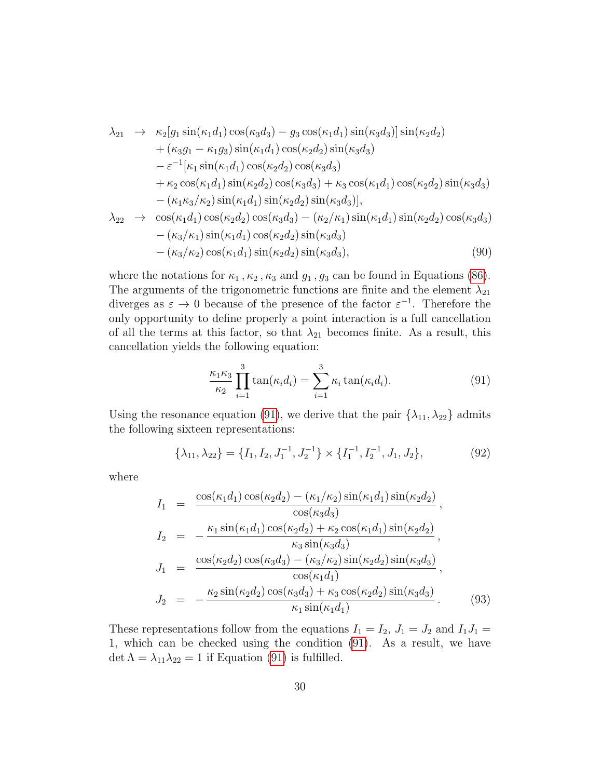$$
\lambda_{21} \rightarrow \kappa_{2}[g_{1} \sin(\kappa_{1} d_{1}) \cos(\kappa_{3} d_{3}) - g_{3} \cos(\kappa_{1} d_{1}) \sin(\kappa_{3} d_{3})] \sin(\kappa_{2} d_{2}) \n+ (\kappa_{3} g_{1} - \kappa_{1} g_{3}) \sin(\kappa_{1} d_{1}) \cos(\kappa_{2} d_{2}) \sin(\kappa_{3} d_{3}) \n- \varepsilon^{-1}[\kappa_{1} \sin(\kappa_{1} d_{1}) \cos(\kappa_{2} d_{2}) \cos(\kappa_{3} d_{3}) \n+ \kappa_{2} \cos(\kappa_{1} d_{1}) \sin(\kappa_{2} d_{2}) \cos(\kappa_{3} d_{3}) + \kappa_{3} \cos(\kappa_{1} d_{1}) \cos(\kappa_{2} d_{2}) \sin(\kappa_{3} d_{3}) \n- (\kappa_{1} \kappa_{3} / \kappa_{2}) \sin(\kappa_{1} d_{1}) \sin(\kappa_{2} d_{2}) \sin(\kappa_{3} d_{3})], \n\lambda_{22} \rightarrow \cos(\kappa_{1} d_{1}) \cos(\kappa_{2} d_{2}) \cos(\kappa_{3} d_{3}) - (\kappa_{2} / \kappa_{1}) \sin(\kappa_{1} d_{1}) \sin(\kappa_{2} d_{2}) \cos(\kappa_{3} d_{3}) \n- (\kappa_{3} / \kappa_{1}) \sin(\kappa_{1} d_{1}) \cos(\kappa_{2} d_{2}) \sin(\kappa_{3} d_{3}) \n- (\kappa_{3} / \kappa_{2}) \cos(\kappa_{1} d_{1}) \sin(\kappa_{2} d_{2}) \sin(\kappa_{3} d_{3}),
$$
\n(90)

where the notations for  $\kappa_1$ ,  $\kappa_2$ ,  $\kappa_3$  and  $g_1$ ,  $g_3$  can be found in Equations [\(86\)](#page-27-1). The arguments of the trigonometric functions are finite and the element  $\lambda_{21}$ diverges as  $\varepsilon \to 0$  because of the presence of the factor  $\varepsilon^{-1}$ . Therefore the only opportunity to define properly a point interaction is a full cancellation of all the terms at this factor, so that  $\lambda_{21}$  becomes finite. As a result, this cancellation yields the following equation:

<span id="page-29-0"></span>
$$
\frac{\kappa_1 \kappa_3}{\kappa_2} \prod_{i=1}^3 \tan(\kappa_i d_i) = \sum_{i=1}^3 \kappa_i \tan(\kappa_i d_i). \tag{91}
$$

Using the resonance equation [\(91\)](#page-29-0), we derive that the pair  $\{\lambda_{11}, \lambda_{22}\}$  admits the following sixteen representations:

$$
\{\lambda_{11}, \lambda_{22}\} = \{I_1, I_2, J_1^{-1}, J_2^{-1}\} \times \{I_1^{-1}, I_2^{-1}, J_1, J_2\},\tag{92}
$$

where

<span id="page-29-1"></span>
$$
I_{1} = \frac{\cos(\kappa_{1}d_{1})\cos(\kappa_{2}d_{2}) - (\kappa_{1}/\kappa_{2})\sin(\kappa_{1}d_{1})\sin(\kappa_{2}d_{2})}{\cos(\kappa_{3}d_{3})},
$$
  
\n
$$
I_{2} = -\frac{\kappa_{1}\sin(\kappa_{1}d_{1})\cos(\kappa_{2}d_{2}) + \kappa_{2}\cos(\kappa_{1}d_{1})\sin(\kappa_{2}d_{2})}{\kappa_{3}\sin(\kappa_{3}d_{3})},
$$
  
\n
$$
J_{1} = \frac{\cos(\kappa_{2}d_{2})\cos(\kappa_{3}d_{3}) - (\kappa_{3}/\kappa_{2})\sin(\kappa_{2}d_{2})\sin(\kappa_{3}d_{3})}{\cos(\kappa_{1}d_{1})},
$$
  
\n
$$
J_{2} = -\frac{\kappa_{2}\sin(\kappa_{2}d_{2})\cos(\kappa_{3}d_{3}) + \kappa_{3}\cos(\kappa_{2}d_{2})\sin(\kappa_{3}d_{3})}{\kappa_{1}\sin(\kappa_{1}d_{1})}.
$$
(93)

These representations follow from the equations  $I_1 = I_2$ ,  $J_1 = J_2$  and  $I_1 J_1 =$ 1, which can be checked using the condition [\(91\)](#page-29-0). As a result, we have det  $\Lambda = \lambda_{11}\lambda_{22} = 1$  if Equation [\(91\)](#page-29-0) is fulfilled.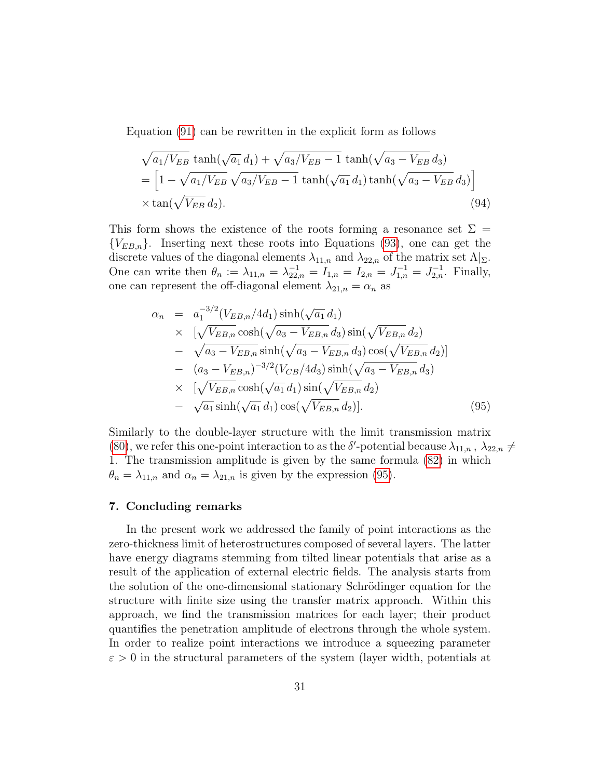Equation [\(91\)](#page-29-0) can be rewritten in the explicit form as follows

$$
\sqrt{a_1/V_{EB}} \tanh(\sqrt{a_1} d_1) + \sqrt{a_3/V_{EB} - 1} \tanh(\sqrt{a_3 - V_{EB}} d_3)
$$
  
=  $\left[1 - \sqrt{a_1/V_{EB}} \sqrt{a_3/V_{EB} - 1} \tanh(\sqrt{a_1} d_1) \tanh(\sqrt{a_3 - V_{EB}} d_3)\right]$   
 $\times \tan(\sqrt{V_{EB}} d_2).$  (94)

This form shows the existence of the roots forming a resonance set  $\Sigma =$  ${V_{EB,n}}$ . Inserting next these roots into Equations [\(93\)](#page-29-1), one can get the discrete values of the diagonal elements  $\lambda_{11,n}$  and  $\lambda_{22,n}$  of the matrix set  $\Lambda|_{\Sigma}$ . One can write then  $\theta_n := \lambda_{11,n} = \lambda_{22,n}^{-1} = I_{1,n} = I_{2,n} = J_{1,n}^{-1} = J_{2,n}^{-1}$ . Finally, one can represent the off-diagonal element  $\lambda_{21,n} = \alpha_n$  as

<span id="page-30-0"></span>
$$
\alpha_n = a_1^{-3/2} (V_{EB,n}/4d_1) \sinh(\sqrt{a_1} d_1)
$$
  
\n
$$
\times \left[ \sqrt{V_{EB,n}} \cosh(\sqrt{a_3 - V_{EB,n}} d_3) \sin(\sqrt{V_{EB,n}} d_2) - \sqrt{a_3 - V_{EB,n}} \sinh(\sqrt{a_3 - V_{EB,n}} d_3) \cos(\sqrt{V_{EB,n}} d_2) \right]
$$
  
\n
$$
- (a_3 - V_{EB,n})^{-3/2} (V_{CB}/4d_3) \sinh(\sqrt{a_3 - V_{EB,n}} d_3)
$$
  
\n
$$
\times \left[ \sqrt{V_{EB,n}} \cosh(\sqrt{a_1} d_1) \sin(\sqrt{V_{EB,n}} d_2) - \sqrt{a_1} \sinh(\sqrt{a_1} d_1) \cos(\sqrt{V_{EB,n}} d_2) \right].
$$
 (95)

Similarly to the double-layer structure with the limit transmission matrix [\(80\)](#page-23-2), we refer this one-point interaction to as the  $\delta'$ -potential because  $\lambda_{11,n}$ ,  $\lambda_{22,n} \neq$ 1. The transmission amplitude is given by the same formula [\(82\)](#page-23-1) in which  $\theta_n = \lambda_{11,n}$  and  $\alpha_n = \lambda_{21,n}$  is given by the expression [\(95\)](#page-30-0).

### 7. Concluding remarks

In the present work we addressed the family of point interactions as the zero-thickness limit of heterostructures composed of several layers. The latter have energy diagrams stemming from tilted linear potentials that arise as a result of the application of external electric fields. The analysis starts from the solution of the one-dimensional stationary Schrödinger equation for the structure with finite size using the transfer matrix approach. Within this approach, we find the transmission matrices for each layer; their product quantifies the penetration amplitude of electrons through the whole system. In order to realize point interactions we introduce a squeezing parameter  $\varepsilon > 0$  in the structural parameters of the system (layer width, potentials at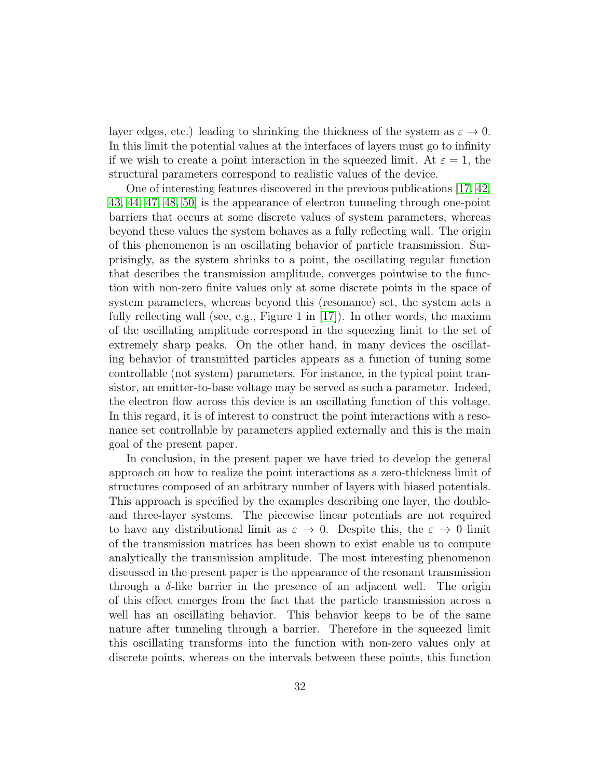layer edges, etc.) leading to shrinking the thickness of the system as  $\varepsilon \to 0$ . In this limit the potential values at the interfaces of layers must go to infinity if we wish to create a point interaction in the squeezed limit. At  $\varepsilon = 1$ , the structural parameters correspond to realistic values of the device.

One of interesting features discovered in the previous publications [\[17,](#page-33-10) [42,](#page-36-5) [43,](#page-36-6) [44,](#page-36-7) [47,](#page-37-1) [48,](#page-37-2) [50\]](#page-37-4) is the appearance of electron tunneling through one-point barriers that occurs at some discrete values of system parameters, whereas beyond these values the system behaves as a fully reflecting wall. The origin of this phenomenon is an oscillating behavior of particle transmission. Surprisingly, as the system shrinks to a point, the oscillating regular function that describes the transmission amplitude, converges pointwise to the function with non-zero finite values only at some discrete points in the space of system parameters, whereas beyond this (resonance) set, the system acts a fully reflecting wall (see, e.g., Figure 1 in [\[17\]](#page-33-10)). In other words, the maxima of the oscillating amplitude correspond in the squeezing limit to the set of extremely sharp peaks. On the other hand, in many devices the oscillating behavior of transmitted particles appears as a function of tuning some controllable (not system) parameters. For instance, in the typical point transistor, an emitter-to-base voltage may be served as such a parameter. Indeed, the electron flow across this device is an oscillating function of this voltage. In this regard, it is of interest to construct the point interactions with a resonance set controllable by parameters applied externally and this is the main goal of the present paper.

In conclusion, in the present paper we have tried to develop the general approach on how to realize the point interactions as a zero-thickness limit of structures composed of an arbitrary number of layers with biased potentials. This approach is specified by the examples describing one layer, the doubleand three-layer systems. The piecewise linear potentials are not required to have any distributional limit as  $\varepsilon \to 0$ . Despite this, the  $\varepsilon \to 0$  limit of the transmission matrices has been shown to exist enable us to compute analytically the transmission amplitude. The most interesting phenomenon discussed in the present paper is the appearance of the resonant transmission through a δ-like barrier in the presence of an adjacent well. The origin of this effect emerges from the fact that the particle transmission across a well has an oscillating behavior. This behavior keeps to be of the same nature after tunneling through a barrier. Therefore in the squeezed limit this oscillating transforms into the function with non-zero values only at discrete points, whereas on the intervals between these points, this function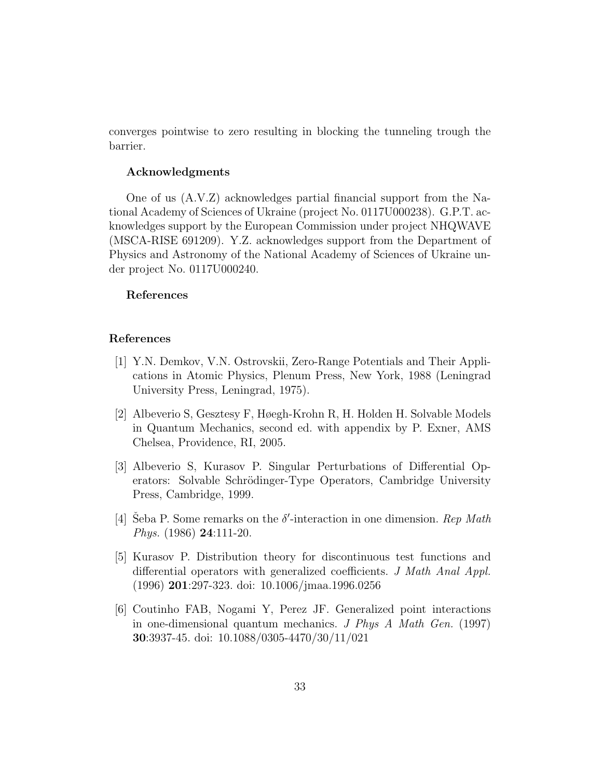converges pointwise to zero resulting in blocking the tunneling trough the barrier.

### Acknowledgments

One of us (A.V.Z) acknowledges partial financial support from the National Academy of Sciences of Ukraine (project No. 0117U000238). G.P.T. acknowledges support by the European Commission under project NHQWAVE (MSCA-RISE 691209). Y.Z. acknowledges support from the Department of Physics and Astronomy of the National Academy of Sciences of Ukraine under project No. 0117U000240.

### References

### References

- <span id="page-32-0"></span>[1] Y.N. Demkov, V.N. Ostrovskii, Zero-Range Potentials and Their Applications in Atomic Physics, Plenum Press, New York, 1988 (Leningrad University Press, Leningrad, 1975).
- <span id="page-32-1"></span>[2] Albeverio S, Gesztesy F, Høegh-Krohn R, H. Holden H. Solvable Models in Quantum Mechanics, second ed. with appendix by P. Exner, AMS Chelsea, Providence, RI, 2005.
- <span id="page-32-2"></span>[3] Albeverio S, Kurasov P. Singular Perturbations of Differential Operators: Solvable Schrödinger-Type Operators, Cambridge University Press, Cambridge, 1999.
- <span id="page-32-3"></span>[4] Šeba P. Some remarks on the  $\delta'$ -interaction in one dimension. Rep Math Phys. (1986) 24:111-20.
- <span id="page-32-4"></span>[5] Kurasov P. Distribution theory for discontinuous test functions and differential operators with generalized coefficients. J Math Anal Appl. (1996) 201:297-323. doi: 10.1006/jmaa.1996.0256
- <span id="page-32-5"></span>[6] Coutinho FAB, Nogami Y, Perez JF. Generalized point interactions in one-dimensional quantum mechanics. J Phys A Math Gen. (1997) 30:3937-45. doi: 10.1088/0305-4470/30/11/021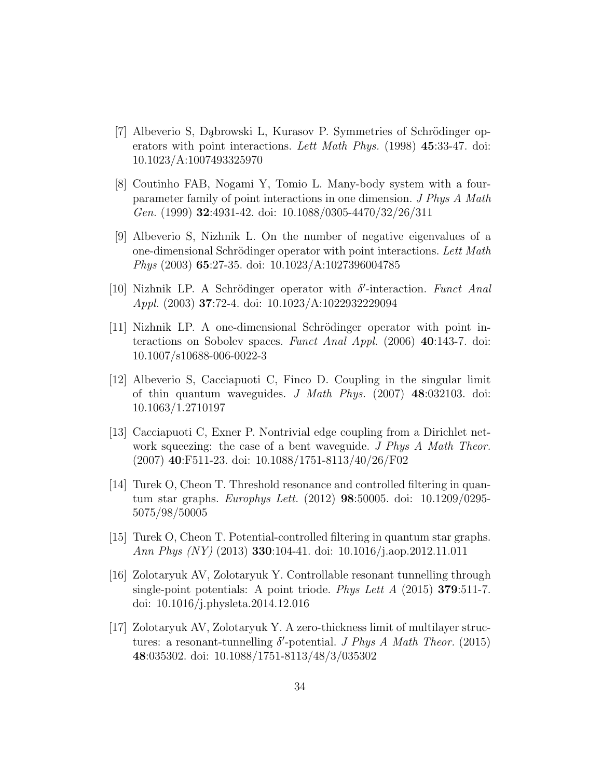- <span id="page-33-0"></span>[7] Albeverio S, Dabrowski L, Kurasov P. Symmetries of Schrödinger operators with point interactions. Lett Math Phys. (1998) 45:33-47. doi: 10.1023/A:1007493325970
- <span id="page-33-1"></span>[8] Coutinho FAB, Nogami Y, Tomio L. Many-body system with a fourparameter family of point interactions in one dimension. J Phys A Math Gen. (1999) 32:4931-42. doi: 10.1088/0305-4470/32/26/311
- <span id="page-33-2"></span>[9] Albeverio S, Nizhnik L. On the number of negative eigenvalues of a one-dimensional Schrödinger operator with point interactions. Lett Math Phys (2003) 65:27-35. doi: 10.1023/A:1027396004785
- <span id="page-33-3"></span>[10] Nizhnik LP. A Schrödinger operator with  $\delta'$ -interaction. Funct Anal Appl. (2003) 37:72-4. doi: 10.1023/A:1022932229094
- <span id="page-33-4"></span>[11] Nizhnik LP. A one-dimensional Schrödinger operator with point interactions on Sobolev spaces. Funct Anal Appl. (2006) 40:143-7. doi: 10.1007/s10688-006-0022-3
- <span id="page-33-5"></span>[12] Albeverio S, Cacciapuoti C, Finco D. Coupling in the singular limit of thin quantum waveguides. J Math Phys. (2007) 48:032103. doi: 10.1063/1.2710197
- <span id="page-33-6"></span>[13] Cacciapuoti C, Exner P. Nontrivial edge coupling from a Dirichlet network squeezing: the case of a bent waveguide. J Phys A Math Theor. (2007) 40:F511-23. doi: 10.1088/1751-8113/40/26/F02
- <span id="page-33-7"></span>[14] Turek O, Cheon T. Threshold resonance and controlled filtering in quantum star graphs. Europhys Lett. (2012) 98:50005. doi: 10.1209/0295- 5075/98/50005
- <span id="page-33-8"></span>[15] Turek O, Cheon T. Potential-controlled filtering in quantum star graphs. Ann Phys (NY) (2013) 330:104-41. doi: 10.1016/j.aop.2012.11.011
- <span id="page-33-9"></span>[16] Zolotaryuk AV, Zolotaryuk Y. Controllable resonant tunnelling through single-point potentials: A point triode. Phys Lett A (2015) **379**:511-7. doi: 10.1016/j.physleta.2014.12.016
- <span id="page-33-10"></span>[17] Zolotaryuk AV, Zolotaryuk Y. A zero-thickness limit of multilayer structures: a resonant-tunnelling  $\delta'$ -potential. J Phys A Math Theor. (2015) 48:035302. doi: 10.1088/1751-8113/48/3/035302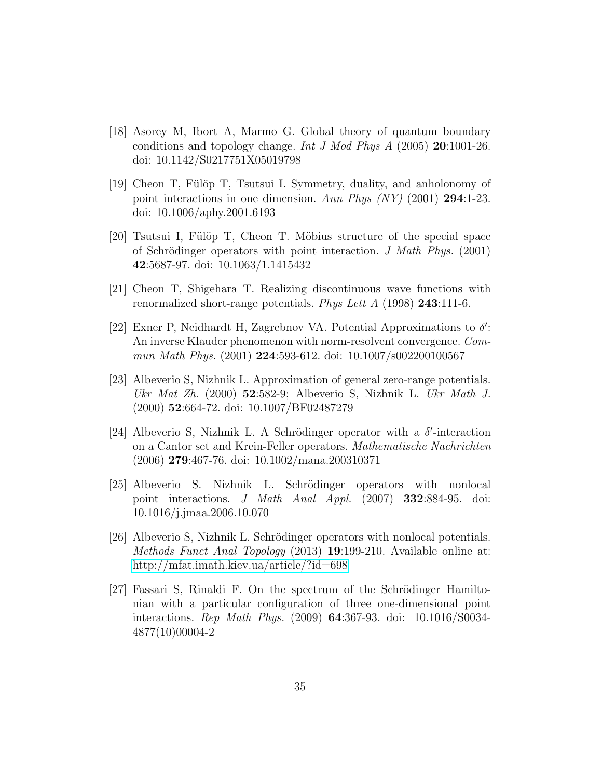- <span id="page-34-0"></span>[18] Asorey M, Ibort A, Marmo G. Global theory of quantum boundary conditions and topology change. Int J Mod Phys A (2005) 20:1001-26. doi: 10.1142/S0217751X05019798
- <span id="page-34-1"></span>[19] Cheon T, Fülöp T, Tsutsui I. Symmetry, duality, and anholonomy of point interactions in one dimension. Ann Phys (NY) (2001) 294:1-23. doi: 10.1006/aphy.2001.6193
- <span id="page-34-2"></span>[20] Tsutsui I, Fülöp T, Cheon T. Möbius structure of the special space of Schrödinger operators with point interaction. J Math Phys.  $(2001)$ 42:5687-97. doi: 10.1063/1.1415432
- <span id="page-34-3"></span>[21] Cheon T, Shigehara T. Realizing discontinuous wave functions with renormalized short-range potentials. Phys Lett A (1998) 243:111-6.
- <span id="page-34-4"></span>[22] Exner P, Neidhardt H, Zagrebnov VA. Potential Approximations to  $\delta'$ : An inverse Klauder phenomenon with norm-resolvent convergence. Commun Math Phys. (2001) 224:593-612. doi: 10.1007/s002200100567
- <span id="page-34-5"></span>[23] Albeverio S, Nizhnik L. Approximation of general zero-range potentials. Ukr Mat Zh. (2000) 52:582-9; Albeverio S, Nizhnik L. Ukr Math J. (2000) 52:664-72. doi: 10.1007/BF02487279
- <span id="page-34-6"></span>[24] Albeverio S, Nizhnik L. A Schrödinger operator with a  $\delta'$ -interaction on a Cantor set and Krein-Feller operators. Mathematische Nachrichten (2006) 279:467-76. doi: 10.1002/mana.200310371
- <span id="page-34-7"></span>[25] Albeverio S. Nizhnik L. Schrödinger operators with nonlocal point interactions. J Math Anal Appl. (2007) 332:884-95. doi: 10.1016/j.jmaa.2006.10.070
- <span id="page-34-8"></span>[26] Albeverio S, Nizhnik L. Schrödinger operators with nonlocal potentials. Methods Funct Anal Topology (2013) 19:199-210. Available online at: <http://mfat.imath.kiev.ua/article/?id=698>
- <span id="page-34-9"></span> $[27]$  Fassari S, Rinaldi F. On the spectrum of the Schrödinger Hamiltonian with a particular configuration of three one-dimensional point interactions. Rep Math Phys. (2009) 64:367-93. doi: 10.1016/S0034- 4877(10)00004-2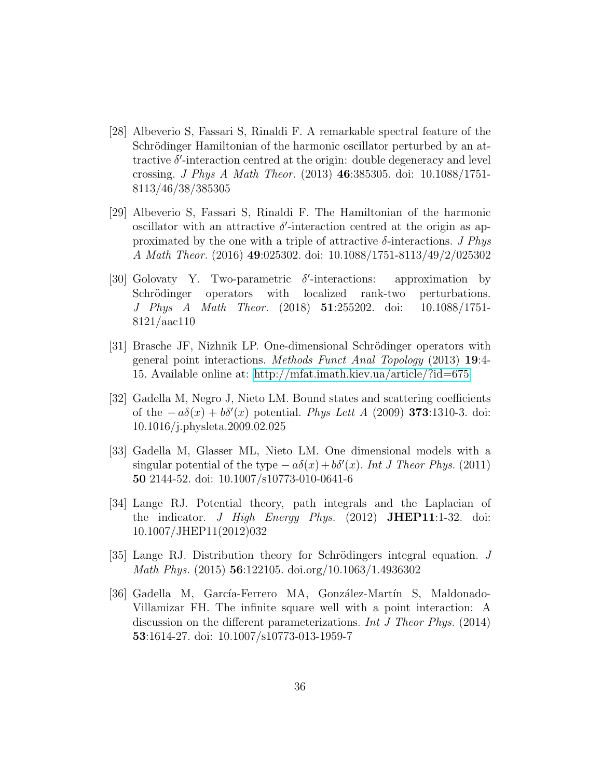- <span id="page-35-0"></span>[28] Albeverio S, Fassari S, Rinaldi F. A remarkable spectral feature of the Schrödinger Hamiltonian of the harmonic oscillator perturbed by an attractive  $\delta'$ -interaction centred at the origin: double degeneracy and level crossing. J Phys A Math Theor. (2013) 46:385305. doi: 10.1088/1751- 8113/46/38/385305
- <span id="page-35-1"></span>[29] Albeverio S, Fassari S, Rinaldi F. The Hamiltonian of the harmonic oscillator with an attractive  $\delta'$ -interaction centred at the origin as approximated by the one with a triple of attractive  $\delta$ -interactions. J Phys A Math Theor. (2016) 49:025302. doi: 10.1088/1751-8113/49/2/025302
- <span id="page-35-2"></span>[30] Golovaty Y. Two-parametric  $\delta'$ -interactions: approximation by Schrödinger operators with localized rank-two perturbations. J Phys A Math Theor. (2018) 51:255202. doi: 10.1088/1751- 8121/aac110
- <span id="page-35-3"></span>[31] Brasche JF, Nizhnik LP. One-dimensional Schrödinger operators with general point interactions. Methods Funct Anal Topology (2013) 19:4- 15. Available online at:<http://mfat.imath.kiev.ua/article/?id=675>
- <span id="page-35-4"></span>[32] Gadella M, Negro J, Nieto LM. Bound states and scattering coefficients of the  $-a\delta(x) + b\delta'(x)$  potential. Phys Lett A (2009) 373:1310-3. doi: 10.1016/j.physleta.2009.02.025
- <span id="page-35-5"></span>[33] Gadella M, Glasser ML, Nieto LM. One dimensional models with a singular potential of the type  $-a\delta(x) + b\delta'(x)$ . Int J Theor Phys. (2011) 50 2144-52. doi: 10.1007/s10773-010-0641-6
- <span id="page-35-6"></span>[34] Lange RJ. Potential theory, path integrals and the Laplacian of the indicator. J High Energy Phys. (2012) JHEP11:1-32. doi: 10.1007/JHEP11(2012)032
- <span id="page-35-7"></span> $[35]$  Lange RJ. Distribution theory for Schrödingers integral equation. J Math Phys. (2015) 56:122105. doi.org/10.1063/1.4936302
- <span id="page-35-8"></span>[36] Gadella M, García-Ferrero MA, González-Martín S, Maldonado-Villamizar FH. The infinite square well with a point interaction: A discussion on the different parameterizations. Int J Theor Phys. (2014) 53:1614-27. doi: 10.1007/s10773-013-1959-7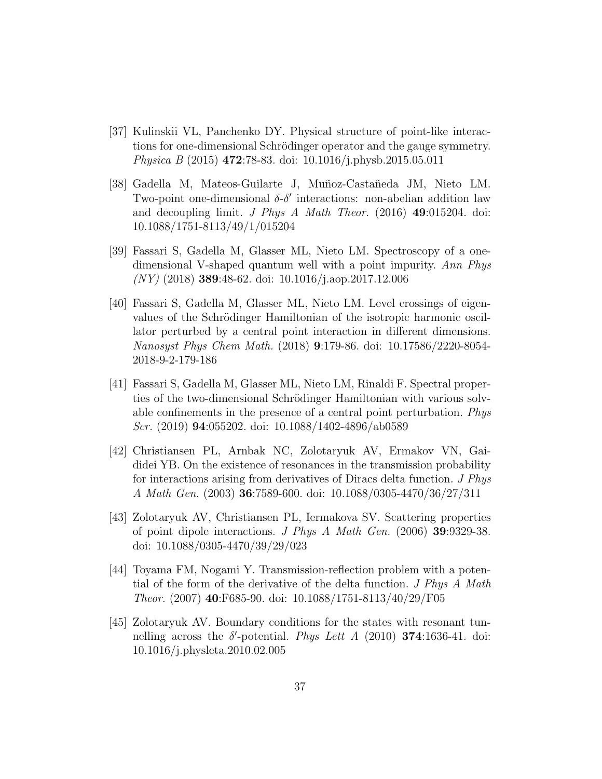- <span id="page-36-0"></span>[37] Kulinskii VL, Panchenko DY. Physical structure of point-like interactions for one-dimensional Schrödinger operator and the gauge symmetry. Physica B (2015) 472:78-83. doi: 10.1016/j.physb.2015.05.011
- <span id="page-36-1"></span>[38] Gadella M, Mateos-Guilarte J, Muñoz-Castañeda JM, Nieto LM. Two-point one-dimensional  $\delta$ - $\delta'$  interactions: non-abelian addition law and decoupling limit. J Phys A Math Theor. (2016) 49:015204. doi: 10.1088/1751-8113/49/1/015204
- <span id="page-36-2"></span>[39] Fassari S, Gadella M, Glasser ML, Nieto LM. Spectroscopy of a onedimensional V-shaped quantum well with a point impurity. Ann Phys (NY) (2018) 389:48-62. doi: 10.1016/j.aop.2017.12.006
- <span id="page-36-3"></span>[40] Fassari S, Gadella M, Glasser ML, Nieto LM. Level crossings of eigenvalues of the Schrödinger Hamiltonian of the isotropic harmonic oscillator perturbed by a central point interaction in different dimensions. Nanosyst Phys Chem Math. (2018) 9:179-86. doi: 10.17586/2220-8054- 2018-9-2-179-186
- <span id="page-36-4"></span>[41] Fassari S, Gadella M, Glasser ML, Nieto LM, Rinaldi F. Spectral properties of the two-dimensional Schrödinger Hamiltonian with various solvable confinements in the presence of a central point perturbation. Phys Scr. (2019) 94:055202. doi: 10.1088/1402-4896/ab0589
- <span id="page-36-5"></span>[42] Christiansen PL, Arnbak NC, Zolotaryuk AV, Ermakov VN, Gaididei YB. On the existence of resonances in the transmission probability for interactions arising from derivatives of Diracs delta function. J Phys A Math Gen. (2003) 36:7589-600. doi: 10.1088/0305-4470/36/27/311
- <span id="page-36-6"></span>[43] Zolotaryuk AV, Christiansen PL, Iermakova SV. Scattering properties of point dipole interactions. J Phys A Math Gen. (2006) 39:9329-38. doi: 10.1088/0305-4470/39/29/023
- <span id="page-36-7"></span>[44] Toyama FM, Nogami Y. Transmission-reflection problem with a potential of the form of the derivative of the delta function. J Phys A Math Theor. (2007) 40:F685-90. doi: 10.1088/1751-8113/40/29/F05
- <span id="page-36-8"></span>[45] Zolotaryuk AV. Boundary conditions for the states with resonant tunnelling across the  $\delta'$ -potential. Phys Lett A (2010) 374:1636-41. doi: 10.1016/j.physleta.2010.02.005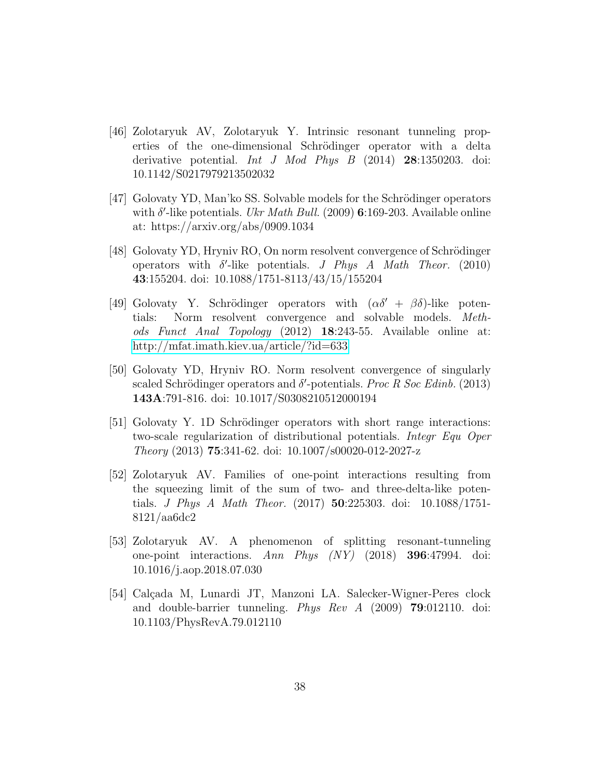- <span id="page-37-0"></span>[46] Zolotaryuk AV, Zolotaryuk Y. Intrinsic resonant tunneling properties of the one-dimensional Schrödinger operator with a delta derivative potential. *Int J Mod Phys B*  $(2014)$  **28**:1350203. doi: 10.1142/S0217979213502032
- <span id="page-37-1"></span>[47] Golovaty YD, Man'ko SS. Solvable models for the Schrödinger operators with  $\delta'$ -like potentials. Ukr Math Bull. (2009) 6:169-203. Available online at: https://arxiv.org/abs/0909.1034
- <span id="page-37-2"></span>[48] Golovaty YD, Hryniv RO, On norm resolvent convergence of Schrödinger operators with  $\delta'$ -like potentials. J Phys A Math Theor. (2010) 43:155204. doi: 10.1088/1751-8113/43/15/155204
- <span id="page-37-3"></span>[49] Golovaty Y. Schrödinger operators with  $(\alpha \delta' + \beta \delta)$ -like potentials: Norm resolvent convergence and solvable models. Methods Funct Anal Topology (2012) 18:243-55. Available online at: <http://mfat.imath.kiev.ua/article/?id=633>
- <span id="page-37-4"></span>[50] Golovaty YD, Hryniv RO. Norm resolvent convergence of singularly scaled Schrödinger operators and  $\delta'$ -potentials. Proc R Soc Edinb. (2013) 143A:791-816. doi: 10.1017/S0308210512000194
- <span id="page-37-5"></span>[51] Golovaty Y. 1D Schrödinger operators with short range interactions: two-scale regularization of distributional potentials. Integr Equ Oper Theory (2013) 75:341-62. doi: 10.1007/s00020-012-2027-z
- <span id="page-37-6"></span>[52] Zolotaryuk AV. Families of one-point interactions resulting from the squeezing limit of the sum of two- and three-delta-like potentials. J Phys A Math Theor. (2017) 50:225303. doi: 10.1088/1751- 8121/aa6dc2
- <span id="page-37-7"></span>[53] Zolotaryuk AV. A phenomenon of splitting resonant-tunneling one-point interactions. Ann Phys  $(NY)$  (2018) **396**:47994. doi: 10.1016/j.aop.2018.07.030
- <span id="page-37-8"></span>[54] Calçada M, Lunardi JT, Manzoni LA. Salecker-Wigner-Peres clock and double-barrier tunneling. Phys Rev A (2009) 79:012110. doi: 10.1103/PhysRevA.79.012110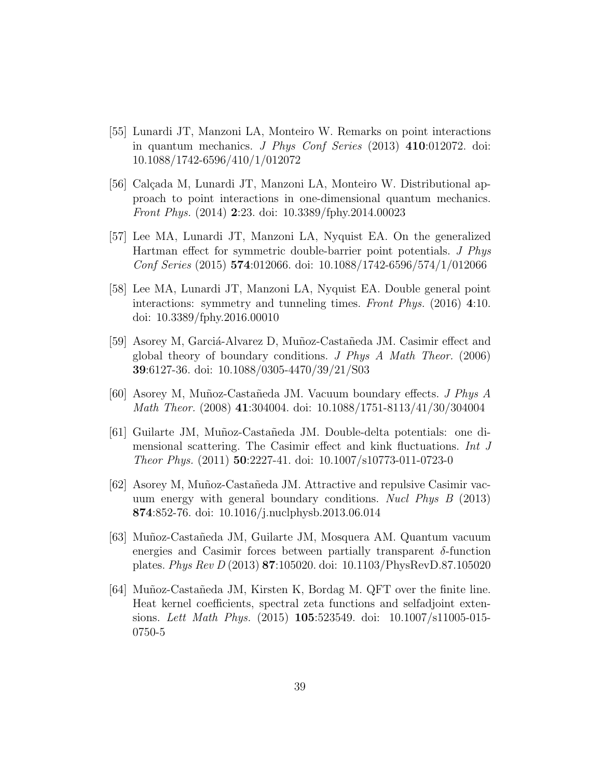- <span id="page-38-0"></span>[55] Lunardi JT, Manzoni LA, Monteiro W. Remarks on point interactions in quantum mechanics. J Phys Conf Series (2013) 410:012072. doi: 10.1088/1742-6596/410/1/012072
- <span id="page-38-1"></span>[56] Calçada M, Lunardi JT, Manzoni LA, Monteiro W. Distributional approach to point interactions in one-dimensional quantum mechanics. Front Phys. (2014) 2:23. doi: 10.3389/fphy.2014.00023
- <span id="page-38-2"></span>[57] Lee MA, Lunardi JT, Manzoni LA, Nyquist EA. On the generalized Hartman effect for symmetric double-barrier point potentials. J Phys Conf Series (2015) 574:012066. doi: 10.1088/1742-6596/574/1/012066
- <span id="page-38-3"></span>[58] Lee MA, Lunardi JT, Manzoni LA, Nyquist EA. Double general point interactions: symmetry and tunneling times. Front Phys. (2016) 4:10. doi: 10.3389/fphy.2016.00010
- <span id="page-38-4"></span>[59] Asorey M, Garciá-Alvarez D, Muñoz-Castañeda JM. Casimir effect and global theory of boundary conditions. J Phys A Math Theor. (2006) 39:6127-36. doi: 10.1088/0305-4470/39/21/S03
- <span id="page-38-5"></span>[60] Asorey M, Mu˜noz-Casta˜neda JM. Vacuum boundary effects. J Phys A Math Theor. (2008) 41:304004. doi: 10.1088/1751-8113/41/30/304004
- <span id="page-38-6"></span>[61] Guilarte JM, Mu˜noz-Casta˜neda JM. Double-delta potentials: one dimensional scattering. The Casimir effect and kink fluctuations. Int J Theor Phys. (2011) 50:2227-41. doi: 10.1007/s10773-011-0723-0
- <span id="page-38-7"></span>[62] Asorey M, Muñoz-Castañeda JM. Attractive and repulsive Casimir vacuum energy with general boundary conditions. Nucl Phys B (2013) 874:852-76. doi: 10.1016/j.nuclphysb.2013.06.014
- <span id="page-38-8"></span>[63] Mu˜noz-Casta˜neda JM, Guilarte JM, Mosquera AM. Quantum vacuum energies and Casimir forces between partially transparent  $\delta$ -function plates. Phys Rev D (2013) 87:105020. doi: 10.1103/PhysRevD.87.105020
- <span id="page-38-9"></span>[64] Mu˜noz-Casta˜neda JM, Kirsten K, Bordag M. QFT over the finite line. Heat kernel coefficients, spectral zeta functions and selfadjoint extensions. Lett Math Phys. (2015) 105:523549. doi: 10.1007/s11005-015- 0750-5